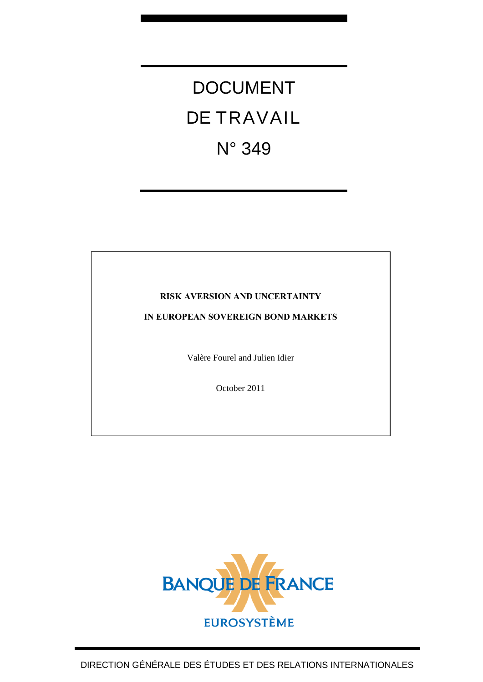# DOCUMENT DE TRAVAIL N° 349

## **RISK AVERSION AND UNCERTAINTY**

## **IN EUROPEAN SOVEREIGN BOND MARKETS**

Valère Fourel and Julien Idier

October 2011

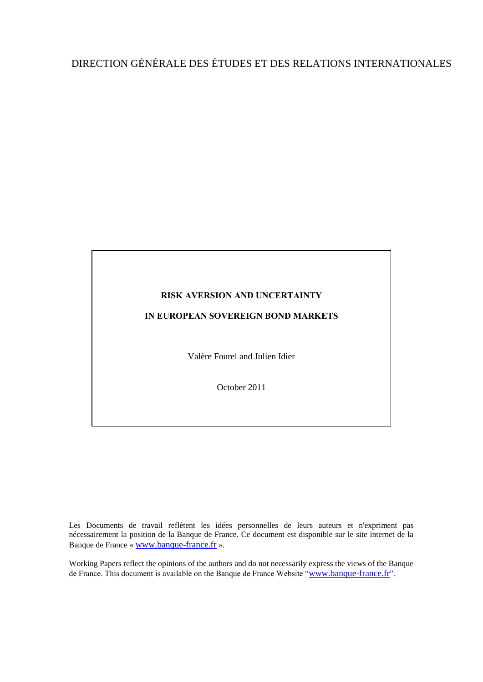# DIRECTION GÉNÉRALE DES ÉTUDES ET DES RELATIONS INTERNATIONALES

# **RISK AVERSION AND UNCERTAINTY**

### **IN EUROPEAN SOVEREIGN BOND MARKETS**

Valère Fourel and Julien Idier

October 2011

Les Documents de travail reflètent les idées personnelles de leurs auteurs et n'expriment pas nécessairement la position de la Banque de France. Ce document est disponible sur le site internet de la Banque de France « [www.banque-france.fr](http://www.banque-france.fr/) ».

Working Papers reflect the opinions of the authors and do not necessarily express the views of the Banque de France. This document is available on the Banque de France Website "[www.banque-france.fr](http://www.banque-france.fr/)".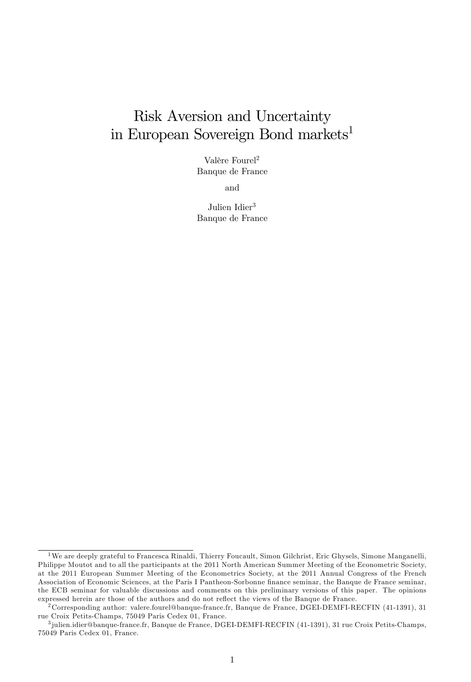# Risk Aversion and Uncertainty in European Sovereign Bond markets<sup>1</sup>

Valère Fourel<sup>2</sup> Banque de France

and

Julien Idier<sup>3</sup> Banque de France

<sup>1</sup>We are deeply grateful to Francesca Rinaldi, Thierry Foucault, Simon Gilchrist, Eric Ghysels, Simone Manganelli, Philippe Moutot and to all the participants at the 2011 North American Summer Meeting of the Econometric Society, at the 2011 European Summer Meeting of the Econometrics Society, at the 2011 Annual Congress of the French Association of Economic Sciences, at the Paris I Pantheon-Sorbonne finance seminar, the Banque de France seminar, the ECB seminar for valuable discussions and comments on this preliminary versions of this paper. The opinions expressed herein are those of the authors and do not reflect the views of the Banque de France.

<sup>2</sup> Corresponding author: valere.fourel@banque-france.fr, Banque de France, DGEI-DEMFI-RECFIN (41-1391), 31 rue Croix Petits-Champs, 75049 Paris Cedex 01, France.

<sup>3</sup> julien.idier@banque-france.fr, Banque de France, DGEI-DEMFI-RECFIN (41-1391), 31 rue Croix Petits-Champs, 75049 Paris Cedex 01, France.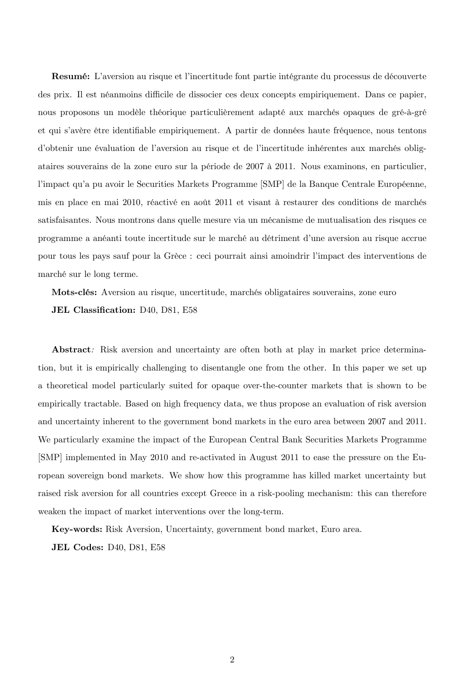Resumé: L'aversion au risque et l'incertitude font partie intégrante du processus de découverte des prix. Il est néanmoins difficile de dissocier ces deux concepts empiriquement. Dans ce papier, nous proposons un modèle théorique particulièrement adapté aux marchés opaques de gré-à-gré et qui s'avère être identifiable empiriquement. A partir de données haute fréquence, nous tentons d'obtenir une évaluation de l'aversion au risque et de l'incertitude inhérentes aux marchés obligataires souverains de la zone euro sur la période de 2007 à 2011. Nous examinons, en particulier, l'impact qu'a pu avoir le Securities Markets Programme [SMP] de la Banque Centrale Européenne, mis en place en mai 2010, réactivé en août 2011 et visant à restaurer des conditions de marchés satisfaisantes. Nous montrons dans quelle mesure via un mécanisme de mutualisation des risques ce programme a anÈanti toute incertitude sur le marchÈ au dÈtriment díune aversion au risque accrue pour tous les pays sauf pour la GrËce : ceci pourrait ainsi amoindrir líimpact des interventions de marché sur le long terme.

Mots-clés: Aversion au risque, uncertitude, marchés obligataires souverains, zone euro

JEL Classification: D40, D81, E58

Abstract: Risk aversion and uncertainty are often both at play in market price determination, but it is empirically challenging to disentangle one from the other. In this paper we set up a theoretical model particularly suited for opaque over-the-counter markets that is shown to be empirically tractable. Based on high frequency data, we thus propose an evaluation of risk aversion and uncertainty inherent to the government bond markets in the euro area between 2007 and 2011. We particularly examine the impact of the European Central Bank Securities Markets Programme [SMP] implemented in May 2010 and re-activated in August 2011 to ease the pressure on the European sovereign bond markets. We show how this programme has killed market uncertainty but raised risk aversion for all countries except Greece in a risk-pooling mechanism: this can therefore weaken the impact of market interventions over the long-term.

Key-words: Risk Aversion, Uncertainty, government bond market, Euro area. JEL Codes: D40, D81, E58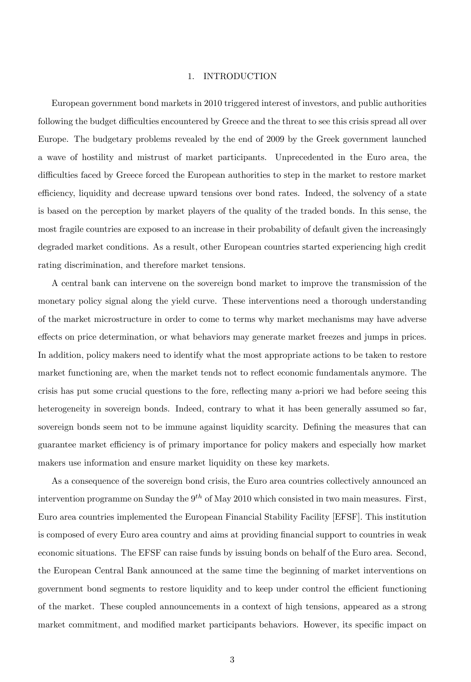#### 1. INTRODUCTION

European government bond markets in 2010 triggered interest of investors, and public authorities following the budget difficulties encountered by Greece and the threat to see this crisis spread all over Europe. The budgetary problems revealed by the end of 2009 by the Greek government launched a wave of hostility and mistrust of market participants. Unprecedented in the Euro area, the difficulties faced by Greece forced the European authorities to step in the market to restore market efficiency, liquidity and decrease upward tensions over bond rates. Indeed, the solvency of a state is based on the perception by market players of the quality of the traded bonds. In this sense, the most fragile countries are exposed to an increase in their probability of default given the increasingly degraded market conditions. As a result, other European countries started experiencing high credit rating discrimination, and therefore market tensions.

A central bank can intervene on the sovereign bond market to improve the transmission of the monetary policy signal along the yield curve. These interventions need a thorough understanding of the market microstructure in order to come to terms why market mechanisms may have adverse effects on price determination, or what behaviors may generate market freezes and jumps in prices. In addition, policy makers need to identify what the most appropriate actions to be taken to restore market functioning are, when the market tends not to reflect economic fundamentals anymore. The crisis has put some crucial questions to the fore, reflecting many a-priori we had before seeing this heterogeneity in sovereign bonds. Indeed, contrary to what it has been generally assumed so far, sovereign bonds seem not to be immune against liquidity scarcity. Defining the measures that can guarantee market efficiency is of primary importance for policy makers and especially how market makers use information and ensure market liquidity on these key markets.

As a consequence of the sovereign bond crisis, the Euro area countries collectively announced an intervention programme on Sunday the  $9<sup>th</sup>$  of May 2010 which consisted in two main measures. First, Euro area countries implemented the European Financial Stability Facility [EFSF]. This institution is composed of every Euro area country and aims at providing financial support to countries in weak economic situations. The EFSF can raise funds by issuing bonds on behalf of the Euro area. Second, the European Central Bank announced at the same time the beginning of market interventions on government bond segments to restore liquidity and to keep under control the efficient functioning of the market. These coupled announcements in a context of high tensions, appeared as a strong market commitment, and modified market participants behaviors. However, its specific impact on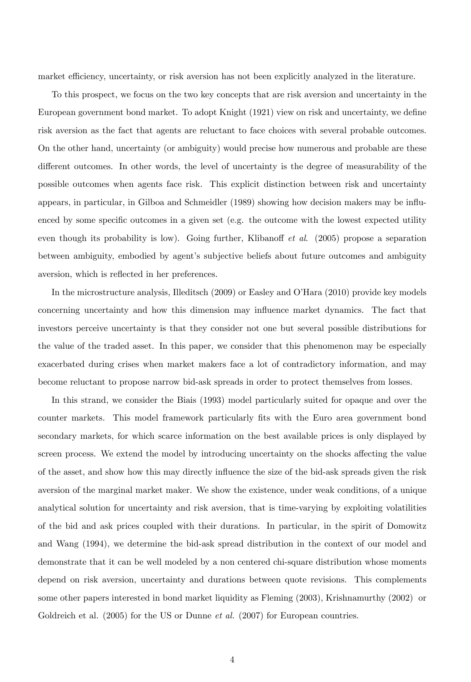market efficiency, uncertainty, or risk aversion has not been explicitly analyzed in the literature.

To this prospect, we focus on the two key concepts that are risk aversion and uncertainty in the European government bond market. To adopt Knight (1921) view on risk and uncertainty, we define risk aversion as the fact that agents are reluctant to face choices with several probable outcomes. On the other hand, uncertainty (or ambiguity) would precise how numerous and probable are these different outcomes. In other words, the level of uncertainty is the degree of measurability of the possible outcomes when agents face risk. This explicit distinction between risk and uncertainty appears, in particular, in Gilboa and Schmeidler (1989) showing how decision makers may be ináuenced by some specific outcomes in a given set (e.g. the outcome with the lowest expected utility even though its probability is low). Going further, Klibanoff *et al.* (2005) propose a separation between ambiguity, embodied by agent's subjective beliefs about future outcomes and ambiguity aversion, which is reflected in her preferences.

In the microstructure analysis, Illeditsch (2009) or Easley and O'Hara (2010) provide key models concerning uncertainty and how this dimension may influence market dynamics. The fact that investors perceive uncertainty is that they consider not one but several possible distributions for the value of the traded asset. In this paper, we consider that this phenomenon may be especially exacerbated during crises when market makers face a lot of contradictory information, and may become reluctant to propose narrow bid-ask spreads in order to protect themselves from losses.

In this strand, we consider the Biais (1993) model particularly suited for opaque and over the counter markets. This model framework particularly fits with the Euro area government bond secondary markets, for which scarce information on the best available prices is only displayed by screen process. We extend the model by introducing uncertainty on the shocks affecting the value of the asset, and show how this may directly ináuence the size of the bid-ask spreads given the risk aversion of the marginal market maker. We show the existence, under weak conditions, of a unique analytical solution for uncertainty and risk aversion, that is time-varying by exploiting volatilities of the bid and ask prices coupled with their durations. In particular, in the spirit of Domowitz and Wang (1994), we determine the bid-ask spread distribution in the context of our model and demonstrate that it can be well modeled by a non centered chi-square distribution whose moments depend on risk aversion, uncertainty and durations between quote revisions. This complements some other papers interested in bond market liquidity as Fleming (2003), Krishnamurthy (2002) or Goldreich et al. (2005) for the US or Dunne *et al.* (2007) for European countries.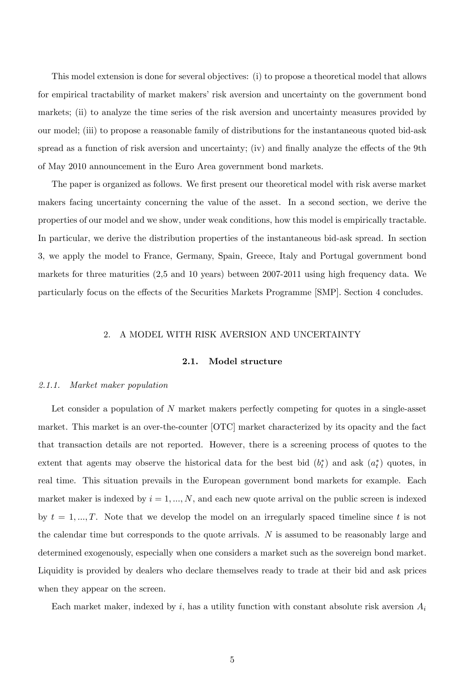This model extension is done for several objectives: (i) to propose a theoretical model that allows for empirical tractability of market makers' risk aversion and uncertainty on the government bond markets; (ii) to analyze the time series of the risk aversion and uncertainty measures provided by our model; (iii) to propose a reasonable family of distributions for the instantaneous quoted bid-ask spread as a function of risk aversion and uncertainty; (iv) and finally analyze the effects of the 9th of May 2010 announcement in the Euro Area government bond markets.

The paper is organized as follows. We first present our theoretical model with risk averse market makers facing uncertainty concerning the value of the asset. In a second section, we derive the properties of our model and we show, under weak conditions, how this model is empirically tractable. In particular, we derive the distribution properties of the instantaneous bid-ask spread. In section 3, we apply the model to France, Germany, Spain, Greece, Italy and Portugal government bond markets for three maturities (2,5 and 10 years) between 2007-2011 using high frequency data. We particularly focus on the effects of the Securities Markets Programme [SMP]. Section 4 concludes.

#### 2. A MODEL WITH RISK AVERSION AND UNCERTAINTY

#### 2.1. Model structure

#### 2.1.1. Market maker population

Let consider a population of N market makers perfectly competing for quotes in a single-asset market. This market is an over-the-counter [OTC] market characterized by its opacity and the fact that transaction details are not reported. However, there is a screening process of quotes to the extent that agents may observe the historical data for the best bid  $(b<sub>t</sub><sup>*</sup>)$  and ask  $(a<sub>t</sub><sup>*</sup>)$  quotes, in real time. This situation prevails in the European government bond markets for example. Each market maker is indexed by  $i = 1, ..., N$ , and each new quote arrival on the public screen is indexed by  $t = 1, ..., T$ . Note that we develop the model on an irregularly spaced timeline since t is not the calendar time but corresponds to the quote arrivals. N is assumed to be reasonably large and determined exogenously, especially when one considers a market such as the sovereign bond market. Liquidity is provided by dealers who declare themselves ready to trade at their bid and ask prices when they appear on the screen.

Each market maker, indexed by i, has a utility function with constant absolute risk aversion  $A_i$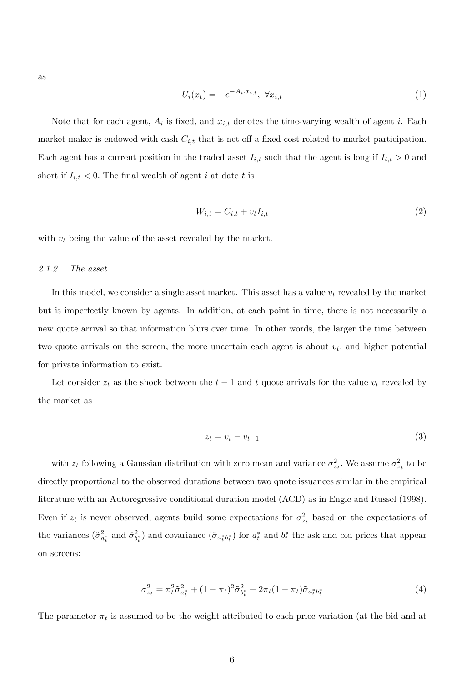as

$$
U_i(x_t) = -e^{-A_i \cdot x_{i,t}}, \ \forall x_{i,t} \tag{1}
$$

Note that for each agent,  $A_i$  is fixed, and  $x_{i,t}$  denotes the time-varying wealth of agent i. Each market maker is endowed with cash  $C_{i,t}$  that is net off a fixed cost related to market participation. Each agent has a current position in the traded asset  $I_{i,t}$  such that the agent is long if  $I_{i,t} > 0$  and short if  $I_{i,t} < 0$ . The final wealth of agent i at date t is

$$
W_{i,t} = C_{i,t} + v_t I_{i,t} \tag{2}
$$

with  $v_t$  being the value of the asset revealed by the market.

#### 2.1.2. The asset

In this model, we consider a single asset market. This asset has a value  $v_t$  revealed by the market but is imperfectly known by agents. In addition, at each point in time, there is not necessarily a new quote arrival so that information blurs over time. In other words, the larger the time between two quote arrivals on the screen, the more uncertain each agent is about  $v_t$ , and higher potential for private information to exist.

Let consider  $z_t$  as the shock between the  $t-1$  and t quote arrivals for the value  $v_t$  revealed by the market as

$$
z_t = v_t - v_{t-1} \tag{3}
$$

with  $z_t$  following a Gaussian distribution with zero mean and variance  $\sigma_{z_t}^2$ . We assume  $\sigma_{z_t}^2$  to be directly proportional to the observed durations between two quote issuances similar in the empirical literature with an Autoregressive conditional duration model (ACD) as in Engle and Russel (1998). Even if  $z_t$  is never observed, agents build some expectations for  $\sigma_{z_t}^2$  based on the expectations of the variances  $({\tilde\sigma}_{a_t^*}^2)$  and covariance  $({\tilde\sigma}_{a_t^*b_t^*})$  for  $a_t^*$  and  $b_t^*$  the ask and bid prices that appear on screens:

$$
\sigma_{z_t}^2 = \pi_t^2 \tilde{\sigma}_{a_t^*}^2 + (1 - \pi_t)^2 \tilde{\sigma}_{b_t^*}^2 + 2\pi_t (1 - \pi_t) \tilde{\sigma}_{a_t^* b_t^*}
$$
\n(4)

The parameter  $\pi_t$  is assumed to be the weight attributed to each price variation (at the bid and at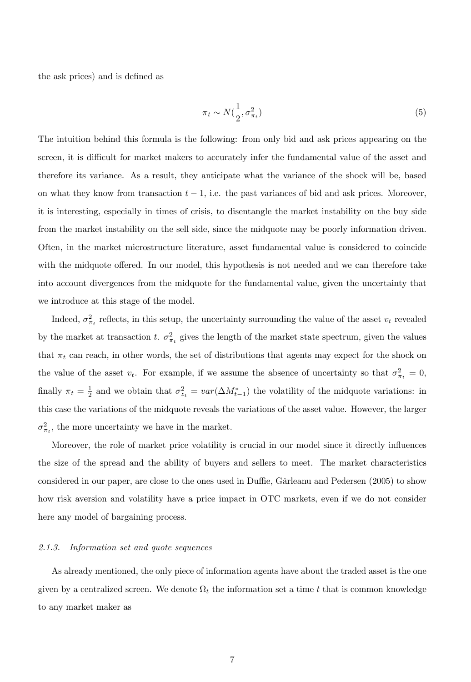the ask prices) and is defined as

$$
\pi_t \sim N(\frac{1}{2}, \sigma_{\pi_t}^2) \tag{5}
$$

The intuition behind this formula is the following: from only bid and ask prices appearing on the screen, it is difficult for market makers to accurately infer the fundamental value of the asset and therefore its variance. As a result, they anticipate what the variance of the shock will be, based on what they know from transaction  $t - 1$ , i.e. the past variances of bid and ask prices. Moreover, it is interesting, especially in times of crisis, to disentangle the market instability on the buy side from the market instability on the sell side, since the midquote may be poorly information driven. Often, in the market microstructure literature, asset fundamental value is considered to coincide with the midquote offered. In our model, this hypothesis is not needed and we can therefore take into account divergences from the midquote for the fundamental value, given the uncertainty that we introduce at this stage of the model.

Indeed,  $\sigma_{\pi_t}^2$  reflects, in this setup, the uncertainty surrounding the value of the asset  $v_t$  revealed by the market at transaction t.  $\sigma_{\pi_t}^2$  gives the length of the market state spectrum, given the values that  $\pi_t$  can reach, in other words, the set of distributions that agents may expect for the shock on the value of the asset  $v_t$ . For example, if we assume the absence of uncertainty so that  $\sigma_{\pi_t}^2 = 0$ , finally  $\pi_t = \frac{1}{2}$  and we obtain that  $\sigma_{z_t}^2 = var(\Delta M_{t-1}^*)$  the volatility of the midquote variations: in this case the variations of the midquote reveals the variations of the asset value. However, the larger  $\sigma_{\pi_t}^2$ , the more uncertainty we have in the market.

Moreover, the role of market price volatility is crucial in our model since it directly ináuences the size of the spread and the ability of buyers and sellers to meet. The market characteristics considered in our paper, are close to the ones used in Duffie, Gârleanu and Pedersen (2005) to show how risk aversion and volatility have a price impact in OTC markets, even if we do not consider here any model of bargaining process.

#### 2.1.3. Information set and quote sequences

As already mentioned, the only piece of information agents have about the traded asset is the one given by a centralized screen. We denote  $\Omega_t$  the information set a time t that is common knowledge to any market maker as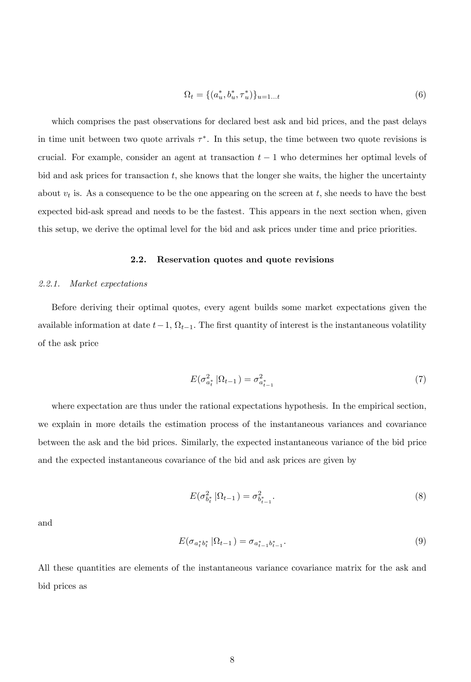$$
\Omega_t = \{ (a_u^*, b_u^*, \tau_u^*) \}_{u=1...t} \tag{6}
$$

which comprises the past observations for declared best ask and bid prices, and the past delays in time unit between two quote arrivals  $\tau^*$ . In this setup, the time between two quote revisions is crucial. For example, consider an agent at transaction  $t - 1$  who determines her optimal levels of bid and ask prices for transaction  $t$ , she knows that the longer she waits, the higher the uncertainty about  $v_t$  is. As a consequence to be the one appearing on the screen at t, she needs to have the best expected bid-ask spread and needs to be the fastest. This appears in the next section when, given this setup, we derive the optimal level for the bid and ask prices under time and price priorities.

#### 2.2. Reservation quotes and quote revisions

#### 2.2.1. Market expectations

Before deriving their optimal quotes, every agent builds some market expectations given the available information at date  $t-1$ ,  $\Omega_{t-1}$ . The first quantity of interest is the instantaneous volatility of the ask price

$$
E(\sigma_{a_t^*}^2 | \Omega_{t-1}) = \sigma_{a_{t-1}^*}^2
$$
\n(7)

where expectation are thus under the rational expectations hypothesis. In the empirical section, we explain in more details the estimation process of the instantaneous variances and covariance between the ask and the bid prices. Similarly, the expected instantaneous variance of the bid price and the expected instantaneous covariance of the bid and ask prices are given by

$$
E(\sigma_{b_t^*}^2 | \Omega_{t-1}) = \sigma_{b_{t-1}^*}^2.
$$
\n(8)

and

$$
E(\sigma_{a_t^* b_t^*} | \Omega_{t-1}) = \sigma_{a_{t-1}^* b_{t-1}^*}.
$$
\n(9)

All these quantities are elements of the instantaneous variance covariance matrix for the ask and bid prices as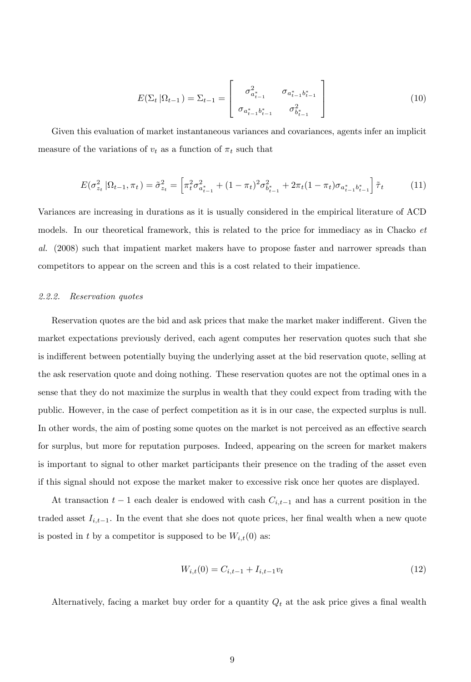$$
E(\Sigma_t | \Omega_{t-1}) = \Sigma_{t-1} = \begin{bmatrix} \sigma_{a_{t-1}^*}^2 & \sigma_{a_{t-1}^* b_{t-1}^*} \\ \sigma_{a_{t-1}^* b_{t-1}^*} & \sigma_{b_{t-1}^*}^2 \end{bmatrix}
$$
(10)

Given this evaluation of market instantaneous variances and covariances, agents infer an implicit measure of the variations of  $v_t$  as a function of  $\pi_t$  such that

$$
E(\sigma_{z_t}^2 | \Omega_{t-1}, \pi_t) = \tilde{\sigma}_{z_t}^2 = \left[ \pi_t^2 \sigma_{a_{t-1}^*}^2 + (1 - \pi_t)^2 \sigma_{b_{t-1}^*}^2 + 2\pi_t (1 - \pi_t) \sigma_{a_{t-1}^* b_{t-1}^*} \right] \tilde{\tau}_t \tag{11}
$$

Variances are increasing in durations as it is usually considered in the empirical literature of ACD models. In our theoretical framework, this is related to the price for immediacy as in Chacko et al. (2008) such that impatient market makers have to propose faster and narrower spreads than competitors to appear on the screen and this is a cost related to their impatience.

#### 2.2.2. Reservation quotes

Reservation quotes are the bid and ask prices that make the market maker indifferent. Given the market expectations previously derived, each agent computes her reservation quotes such that she is indifferent between potentially buying the underlying asset at the bid reservation quote, selling at the ask reservation quote and doing nothing. These reservation quotes are not the optimal ones in a sense that they do not maximize the surplus in wealth that they could expect from trading with the public. However, in the case of perfect competition as it is in our case, the expected surplus is null. In other words, the aim of posting some quotes on the market is not perceived as an effective search for surplus, but more for reputation purposes. Indeed, appearing on the screen for market makers is important to signal to other market participants their presence on the trading of the asset even if this signal should not expose the market maker to excessive risk once her quotes are displayed.

At transaction  $t-1$  each dealer is endowed with cash  $C_{i,t-1}$  and has a current position in the traded asset  $I_{i,t-1}$ . In the event that she does not quote prices, her final wealth when a new quote is posted in t by a competitor is supposed to be  $W_{i,t}(0)$  as:

$$
W_{i,t}(0) = C_{i,t-1} + I_{i,t-1}v_t
$$
\n(12)

Alternatively, facing a market buy order for a quantity  $Q_t$  at the ask price gives a final wealth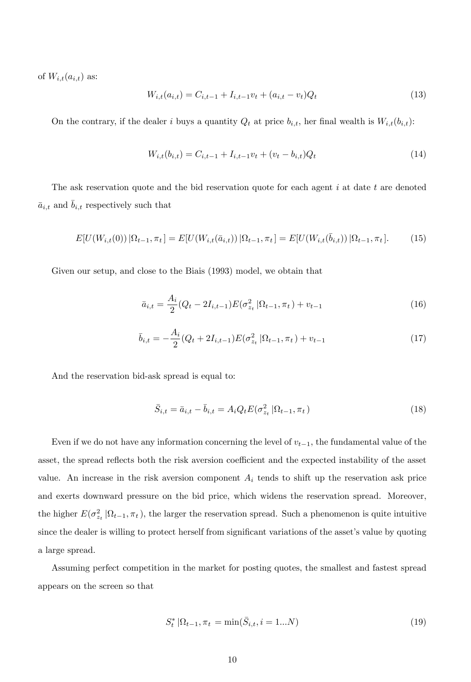of  $W_{i,t}(a_{i,t})$  as:

$$
W_{i,t}(a_{i,t}) = C_{i,t-1} + I_{i,t-1}v_t + (a_{i,t} - v_t)Q_t
$$
\n(13)

On the contrary, if the dealer i buys a quantity  $Q_t$  at price  $b_{i,t}$ , her final wealth is  $W_{i,t}(b_{i,t})$ :

$$
W_{i,t}(b_{i,t}) = C_{i,t-1} + I_{i,t-1}v_t + (v_t - b_{i,t})Q_t
$$
\n(14)

The ask reservation quote and the bid reservation quote for each agent  $i$  at date  $t$  are denoted  $\bar{a}_{i,t}$  and  $b_{i,t}$  respectively such that

$$
E[U(W_{i,t}(0)) | \Omega_{t-1}, \pi_t] = E[U(W_{i,t}(\bar{a}_{i,t})) | \Omega_{t-1}, \pi_t] = E[U(W_{i,t}(\bar{b}_{i,t})) | \Omega_{t-1}, \pi_t].
$$
 (15)

Given our setup, and close to the Biais (1993) model, we obtain that

$$
\bar{a}_{i,t} = \frac{A_i}{2} (Q_t - 2I_{i,t-1}) E(\sigma_{z_t}^2 | \Omega_{t-1}, \pi_t) + v_{t-1}
$$
\n(16)

$$
\bar{b}_{i,t} = -\frac{A_i}{2} (Q_t + 2I_{i,t-1}) E(\sigma_{z_t}^2 | \Omega_{t-1}, \pi_t) + v_{t-1}
$$
\n(17)

And the reservation bid-ask spread is equal to:

$$
\bar{S}_{i,t} = \bar{a}_{i,t} - \bar{b}_{i,t} = A_i Q_t E(\sigma_{z_t}^2 | \Omega_{t-1}, \pi_t)
$$
\n(18)

Even if we do not have any information concerning the level of  $v_{t-1}$ , the fundamental value of the asset, the spread reflects both the risk aversion coefficient and the expected instability of the asset value. An increase in the risk aversion component  $A_i$  tends to shift up the reservation ask price and exerts downward pressure on the bid price, which widens the reservation spread. Moreover, the higher  $E(\sigma_{z_t}^2 | \Omega_{t-1}, \pi_t)$ , the larger the reservation spread. Such a phenomenon is quite intuitive since the dealer is willing to protect herself from significant variations of the asset's value by quoting a large spread.

Assuming perfect competition in the market for posting quotes, the smallest and fastest spread appears on the screen so that

$$
S_t^* |\Omega_{t-1}, \pi_t = \min(\bar{S}_{i,t}, i = 1...N)
$$
\n(19)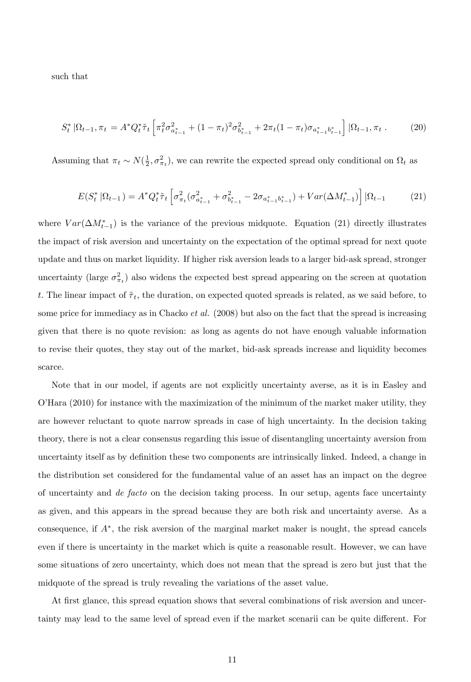such that

$$
S_t^* |\Omega_{t-1}, \pi_t = A^* Q_t^* \tilde{\tau}_t \left[ \pi_t^2 \sigma_{a_{t-1}^*}^2 + (1 - \pi_t)^2 \sigma_{b_{t-1}^*}^2 + 2 \pi_t (1 - \pi_t) \sigma_{a_{t-1}^* b_{t-1}^*} \right] |\Omega_{t-1}, \pi_t. \tag{20}
$$

Assuming that  $\pi_t \sim N(\frac{1}{2}, \sigma_{\pi_t}^2)$ , we can rewrite the expected spread only conditional on  $\Omega_t$  as

$$
E(S_t^* | \Omega_{t-1}) = A^* Q_t^* \tilde{\tau}_t \left[ \sigma_{\pi_t}^2 (\sigma_{a_{t-1}^*}^2 + \sigma_{b_{t-1}^*}^2 - 2\sigma_{a_{t-1}^* b_{t-1}^*}) + Var(\Delta M_{t-1}^*) \right] |\Omega_{t-1} \tag{21}
$$

where  $Var(\Delta M_{t-1}^*)$  is the variance of the previous midquote. Equation (21) directly illustrates the impact of risk aversion and uncertainty on the expectation of the optimal spread for next quote update and thus on market liquidity. If higher risk aversion leads to a larger bid-ask spread, stronger uncertainty (large  $\sigma_{\pi_t}^2$ ) also widens the expected best spread appearing on the screen at quotation t. The linear impact of  $\tilde{\tau}_t$ , the duration, on expected quoted spreads is related, as we said before, to some price for immediacy as in Chacko *et al.*  $(2008)$  but also on the fact that the spread is increasing given that there is no quote revision: as long as agents do not have enough valuable information to revise their quotes, they stay out of the market, bid-ask spreads increase and liquidity becomes scarce.

Note that in our model, if agents are not explicitly uncertainty averse, as it is in Easley and OíHara (2010) for instance with the maximization of the minimum of the market maker utility, they are however reluctant to quote narrow spreads in case of high uncertainty. In the decision taking theory, there is not a clear consensus regarding this issue of disentangling uncertainty aversion from uncertainty itself as by definition these two components are intrinsically linked. Indeed, a change in the distribution set considered for the fundamental value of an asset has an impact on the degree of uncertainty and de facto on the decision taking process. In our setup, agents face uncertainty as given, and this appears in the spread because they are both risk and uncertainty averse. As a consequence, if A , the risk aversion of the marginal market maker is nought, the spread cancels even if there is uncertainty in the market which is quite a reasonable result. However, we can have some situations of zero uncertainty, which does not mean that the spread is zero but just that the midquote of the spread is truly revealing the variations of the asset value.

At first glance, this spread equation shows that several combinations of risk aversion and uncertainty may lead to the same level of spread even if the market scenarii can be quite different. For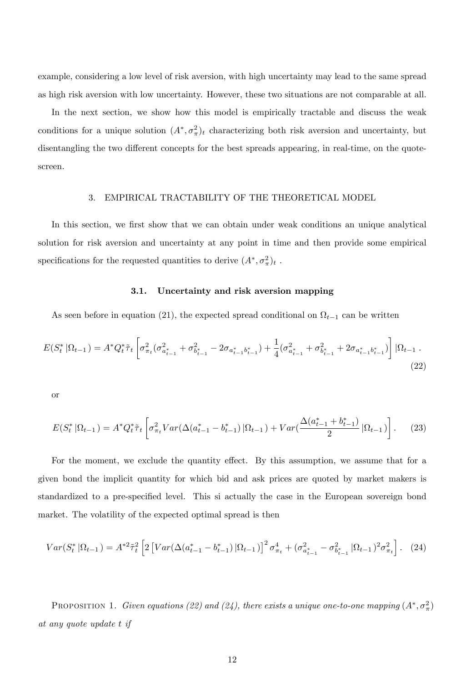example, considering a low level of risk aversion, with high uncertainty may lead to the same spread as high risk aversion with low uncertainty. However, these two situations are not comparable at all.

In the next section, we show how this model is empirically tractable and discuss the weak conditions for a unique solution  $(A^*, \sigma_{\pi})_t$  characterizing both risk aversion and uncertainty, but disentangling the two different concepts for the best spreads appearing, in real-time, on the quotescreen.

#### 3. EMPIRICAL TRACTABILITY OF THE THEORETICAL MODEL

In this section, we first show that we can obtain under weak conditions an unique analytical solution for risk aversion and uncertainty at any point in time and then provide some empirical specifications for the requested quantities to derive  $(A^*, \sigma_{\pi}^2)_t$ .

#### 3.1. Uncertainty and risk aversion mapping

As seen before in equation (21), the expected spread conditional on  $\Omega_{t-1}$  can be written

$$
E(S_t^* \mid \Omega_{t-1}) = A^* Q_t^* \tilde{\tau}_t \left[ \sigma_{\pi_t}^2 (\sigma_{a_{t-1}^*}^2 + \sigma_{b_{t-1}^*}^2 - 2\sigma_{a_{t-1}^* b_{t-1}^*}) + \frac{1}{4} (\sigma_{a_{t-1}^*}^2 + \sigma_{b_{t-1}^*}^2 + 2\sigma_{a_{t-1}^* b_{t-1}^*}) \right] \mid \Omega_{t-1} \; .
$$
\n(22)

or

$$
E(S_t^* \left| \Omega_{t-1} \right) = A^* Q_t^* \tilde{\tau}_t \left[ \sigma_{\pi_t}^2 Var(\Delta(a_{t-1}^* - b_{t-1}^*) \left| \Omega_{t-1} \right. ) + Var(\frac{\Delta(a_{t-1}^* + b_{t-1}^*)}{2} \left| \Omega_{t-1} \right. ) \right]. \tag{23}
$$

For the moment, we exclude the quantity effect. By this assumption, we assume that for a given bond the implicit quantity for which bid and ask prices are quoted by market makers is standardized to a pre-specified level. This si actually the case in the European sovereign bond market. The volatility of the expected optimal spread is then

$$
Var(S_t^* | \Omega_{t-1}) = A^{*2} \tilde{\tau}_t^2 \left[ 2 \left[ Var(\Delta(a_{t-1}^* - b_{t-1}^*) | \Omega_{t-1}) \right]^2 \sigma_{\pi_t}^4 + (\sigma_{a_{t-1}^*}^2 - \sigma_{b_{t-1}^*}^2 | \Omega_{t-1})^2 \sigma_{\pi_t}^2 \right].
$$
 (24)

PROPOSITION 1. Given equations (22) and (24), there exists a unique one-to-one mapping  $(A^*,\sigma_{\pi}^2)$ at any quote update t if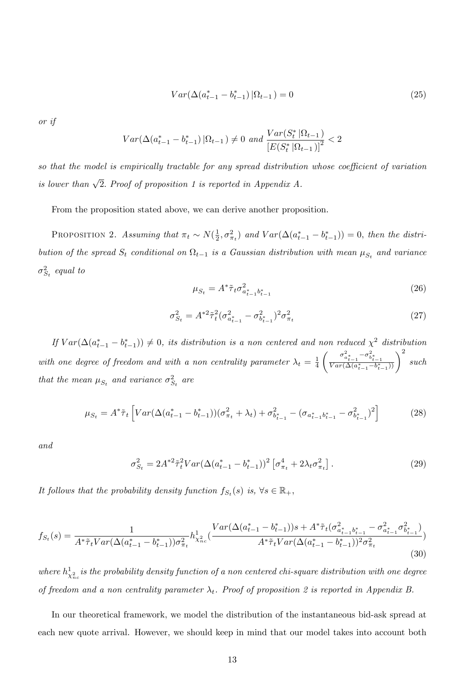$$
Var(\Delta(a_{t-1}^* - b_{t-1}^*) | \Omega_{t-1}) = 0
$$
\n(25)

or if

$$
Var(\Delta(a_{t-1}^* - b_{t-1}^*) | \Omega_{t-1}) \neq 0 \text{ and } \frac{Var(S_t^* | \Omega_{t-1})}{[E(S_t^* | \Omega_{t-1})]^2} < 2
$$

so that the model is empirically tractable for any spread distribution whose coefficient of variation is lower than  $\sqrt{2}$ . Proof of proposition 1 is reported in Appendix A.

From the proposition stated above, we can derive another proposition.

PROPOSITION 2. Assuming that  $\pi_t \sim N(\frac{1}{2}, \sigma_{\pi_t}^2)$  and  $Var(\Delta(a_{t-1}^* - b_{t-1}^*)) = 0$ , then the distribution of the spread  $S_t$  conditional on  $\Omega_{t-1}$  is a Gaussian distribution with mean  $\mu_{S_t}$  and variance  $\sigma_{S_t}^2$  equal to

$$
\mu_{S_t} = A^* \tilde{\tau}_t \sigma_{a_{t-1}^* b_{t-1}^*}^2 \tag{26}
$$

$$
\sigma_{S_t}^2 = A^{*2} \tilde{\tau}_t^2 (\sigma_{a_{t-1}^*}^2 - \sigma_{b_{t-1}^*}^2)^2 \sigma_{\pi_t}^2 \tag{27}
$$

If  $Var(\Delta(a_{t-1}^* - b_{t-1}^*)) \neq 0$ , its distribution is a non centered and non reduced  $\chi^2$  distribution  $t-1$ with one degree of freedom and with a non centrality parameter  $\lambda_t = \frac{1}{4}$  $\left(\frac{\sigma^2_{a^*_{t-1}}-\sigma^2_{b^*_{t-1}}}{Var(\Delta(a^*_{t-1}-b^*_{t-1}))}\right)^2$  such that the mean  $\mu_{S_t}$  and variance  $\sigma_{S_t}^2$  are

$$
\mu_{S_t} = A^* \tilde{\tau}_t \left[ Var(\Delta(a_{t-1}^* - b_{t-1}^*)) (\sigma_{\pi_t}^2 + \lambda_t) + \sigma_{b_{t-1}^*}^2 - (\sigma_{a_{t-1}^* b_{t-1}^*} - \sigma_{b_{t-1}^*}^2)^2 \right] \tag{28}
$$

and

$$
\sigma_{S_t}^2 = 2A^{*2}\tilde{\tau}_t^2 Var(\Delta(a_{t-1}^* - b_{t-1}^*))^2 \left[\sigma_{\pi_t}^4 + 2\lambda_t \sigma_{\pi_t}^2\right].
$$
\n(29)

It follows that the probability density function  $f_{S_t}(s)$  is,  $\forall s \in \mathbb{R}_+$ ,

$$
f_{S_t}(s) = \frac{1}{A^*\tilde{\tau}_t Var(\Delta(a_{t-1}^* - b_{t-1}^*))\sigma_{\pi_t}^2} h_{\chi_{nc}^2}^1(\frac{Var(\Delta(a_{t-1}^* - b_{t-1}^*))s + A^*\tilde{\tau}_t(\sigma_{a_{t-1}^*b_{t-1}^*}^2 - \sigma_{a_{t-1}^*}^2\sigma_{b_{t-1}^*}^2)}{A^*\tilde{\tau}_t Var(\Delta(a_{t-1}^* - b_{t-1}^*))^2\sigma_{\pi_t}^2})
$$
\n(30)

where  $h^1_{\chi^2_{nc}}$  is the probability density function of a non centered chi-square distribution with one degree of freedom and a non centrality parameter  $\lambda_t$ . Proof of proposition 2 is reported in Appendix B.

In our theoretical framework, we model the distribution of the instantaneous bid-ask spread at each new quote arrival. However, we should keep in mind that our model takes into account both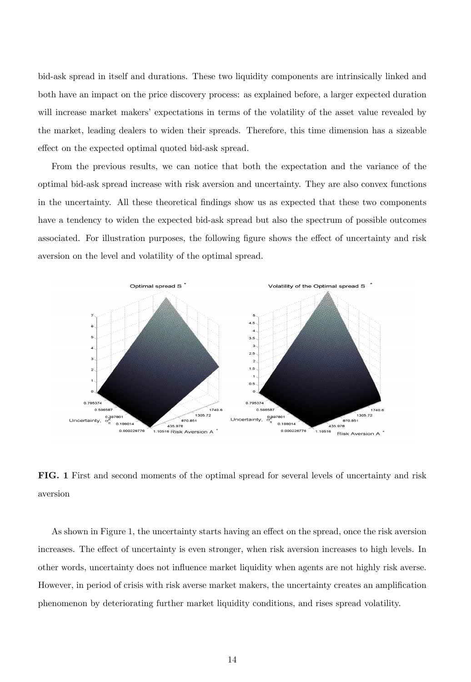bid-ask spread in itself and durations. These two liquidity components are intrinsically linked and both have an impact on the price discovery process: as explained before, a larger expected duration will increase market makers' expectations in terms of the volatility of the asset value revealed by the market, leading dealers to widen their spreads. Therefore, this time dimension has a sizeable effect on the expected optimal quoted bid-ask spread.

From the previous results, we can notice that both the expectation and the variance of the optimal bid-ask spread increase with risk aversion and uncertainty. They are also convex functions in the uncertainty. All these theoretical Öndings show us as expected that these two components have a tendency to widen the expected bid-ask spread but also the spectrum of possible outcomes associated. For illustration purposes, the following figure shows the effect of uncertainty and risk aversion on the level and volatility of the optimal spread.



FIG. 1 First and second moments of the optimal spread for several levels of uncertainty and risk aversion

As shown in Figure 1, the uncertainty starts having an effect on the spread, once the risk aversion increases. The effect of uncertainty is even stronger, when risk aversion increases to high levels. In other words, uncertainty does not ináuence market liquidity when agents are not highly risk averse. However, in period of crisis with risk averse market makers, the uncertainty creates an amplification phenomenon by deteriorating further market liquidity conditions, and rises spread volatility.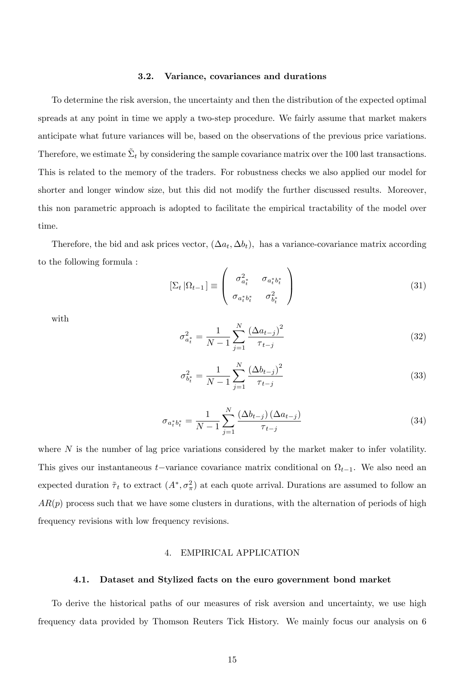#### 3.2. Variance, covariances and durations

To determine the risk aversion, the uncertainty and then the distribution of the expected optimal spreads at any point in time we apply a two-step procedure. We fairly assume that market makers anticipate what future variances will be, based on the observations of the previous price variations. Therefore, we estimate  $\tilde{\Sigma}_t$  by considering the sample covariance matrix over the 100 last transactions. This is related to the memory of the traders. For robustness checks we also applied our model for shorter and longer window size, but this did not modify the further discussed results. Moreover, this non parametric approach is adopted to facilitate the empirical tractability of the model over time.

Therefore, the bid and ask prices vector,  $(\Delta a_t, \Delta b_t)$ , has a variance-covariance matrix according to the following formula :

$$
\left[\Sigma_t \left| \Omega_{t-1} \right.\right] \equiv \left( \begin{array}{cc} \sigma_{a_t^*}^2 & \sigma_{a_t^* b_t^*} \\ \sigma_{a_t^* b_t^*} & \sigma_{b_t^*}^2 \end{array} \right) \tag{31}
$$

with

$$
\sigma_{a_t^*}^2 = \frac{1}{N-1} \sum_{j=1}^N \frac{(\Delta a_{t-j})^2}{\tau_{t-j}}
$$
\n(32)

$$
\sigma_{b_t^*}^2 = \frac{1}{N-1} \sum_{j=1}^N \frac{(\Delta b_{t-j})^2}{\tau_{t-j}}
$$
\n(33)

$$
\sigma_{a_t^* b_t^*} = \frac{1}{N-1} \sum_{j=1}^N \frac{(\Delta b_{t-j})(\Delta a_{t-j})}{\tau_{t-j}}
$$
(34)

where  $N$  is the number of lag price variations considered by the market maker to infer volatility. This gives our instantaneous  $t$ -variance covariance matrix conditional on  $\Omega_{t-1}$ . We also need an expected duration  $\tilde{\tau}_t$  to extract  $(A^*, \sigma_\pi^2)$  at each quote arrival. Durations are assumed to follow an  $AR(p)$  process such that we have some clusters in durations, with the alternation of periods of high frequency revisions with low frequency revisions.

#### 4. EMPIRICAL APPLICATION

#### 4.1. Dataset and Stylized facts on the euro government bond market

To derive the historical paths of our measures of risk aversion and uncertainty, we use high frequency data provided by Thomson Reuters Tick History. We mainly focus our analysis on 6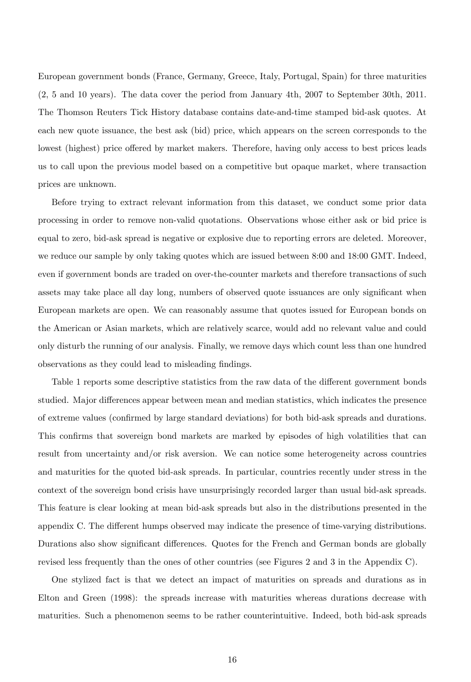European government bonds (France, Germany, Greece, Italy, Portugal, Spain) for three maturities (2, 5 and 10 years). The data cover the period from January 4th, 2007 to September 30th, 2011. The Thomson Reuters Tick History database contains date-and-time stamped bid-ask quotes. At each new quote issuance, the best ask (bid) price, which appears on the screen corresponds to the lowest (highest) price offered by market makers. Therefore, having only access to best prices leads us to call upon the previous model based on a competitive but opaque market, where transaction prices are unknown.

Before trying to extract relevant information from this dataset, we conduct some prior data processing in order to remove non-valid quotations. Observations whose either ask or bid price is equal to zero, bid-ask spread is negative or explosive due to reporting errors are deleted. Moreover, we reduce our sample by only taking quotes which are issued between 8:00 and 18:00 GMT. Indeed, even if government bonds are traded on over-the-counter markets and therefore transactions of such assets may take place all day long, numbers of observed quote issuances are only significant when European markets are open. We can reasonably assume that quotes issued for European bonds on the American or Asian markets, which are relatively scarce, would add no relevant value and could only disturb the running of our analysis. Finally, we remove days which count less than one hundred observations as they could lead to misleading findings.

Table 1 reports some descriptive statistics from the raw data of the different government bonds studied. Major differences appear between mean and median statistics, which indicates the presence of extreme values (confirmed by large standard deviations) for both bid-ask spreads and durations. This confirms that sovereign bond markets are marked by episodes of high volatilities that can result from uncertainty and/or risk aversion. We can notice some heterogeneity across countries and maturities for the quoted bid-ask spreads. In particular, countries recently under stress in the context of the sovereign bond crisis have unsurprisingly recorded larger than usual bid-ask spreads. This feature is clear looking at mean bid-ask spreads but also in the distributions presented in the appendix C. The different humps observed may indicate the presence of time-varying distributions. Durations also show significant differences. Quotes for the French and German bonds are globally revised less frequently than the ones of other countries (see Figures 2 and 3 in the Appendix C).

One stylized fact is that we detect an impact of maturities on spreads and durations as in Elton and Green (1998): the spreads increase with maturities whereas durations decrease with maturities. Such a phenomenon seems to be rather counterintuitive. Indeed, both bid-ask spreads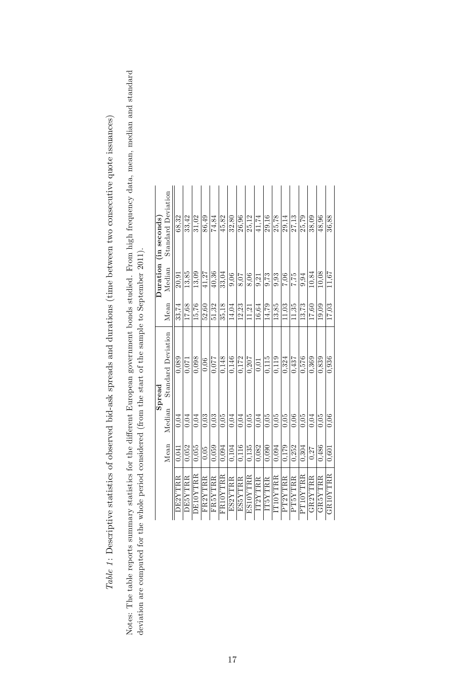| ֚֘֝֕                                                                                                                      |
|---------------------------------------------------------------------------------------------------------------------------|
| ļ                                                                                                                         |
|                                                                                                                           |
|                                                                                                                           |
|                                                                                                                           |
|                                                                                                                           |
|                                                                                                                           |
| ו<br>ו                                                                                                                    |
|                                                                                                                           |
|                                                                                                                           |
|                                                                                                                           |
|                                                                                                                           |
|                                                                                                                           |
|                                                                                                                           |
|                                                                                                                           |
|                                                                                                                           |
|                                                                                                                           |
|                                                                                                                           |
|                                                                                                                           |
|                                                                                                                           |
|                                                                                                                           |
|                                                                                                                           |
|                                                                                                                           |
|                                                                                                                           |
|                                                                                                                           |
|                                                                                                                           |
|                                                                                                                           |
| くくしょう しょうきょうしん くてうけんしゃ くうきょう うくくしきそく ふく                                                                                   |
|                                                                                                                           |
| ١                                                                                                                         |
|                                                                                                                           |
|                                                                                                                           |
|                                                                                                                           |
|                                                                                                                           |
|                                                                                                                           |
| ֘֒                                                                                                                        |
|                                                                                                                           |
|                                                                                                                           |
|                                                                                                                           |
|                                                                                                                           |
|                                                                                                                           |
|                                                                                                                           |
|                                                                                                                           |
|                                                                                                                           |
|                                                                                                                           |
|                                                                                                                           |
|                                                                                                                           |
| -<br>-<br>-<br>-<br>-<br>-<br>-<br>-<br><br>-<br><br><br><br><br><br><br><br><br><br><br><br><br><br><br><br><br><br><br> |
|                                                                                                                           |
| į                                                                                                                         |
|                                                                                                                           |
| $\frac{1}{2}$                                                                                                             |
|                                                                                                                           |
|                                                                                                                           |
| j                                                                                                                         |
|                                                                                                                           |
|                                                                                                                           |
|                                                                                                                           |
| こくり にっこう                                                                                                                  |
|                                                                                                                           |
|                                                                                                                           |
|                                                                                                                           |
|                                                                                                                           |
|                                                                                                                           |
|                                                                                                                           |
|                                                                                                                           |
|                                                                                                                           |
| .<br>.<br>.                                                                                                               |
|                                                                                                                           |
|                                                                                                                           |
|                                                                                                                           |
|                                                                                                                           |
|                                                                                                                           |
|                                                                                                                           |
|                                                                                                                           |
|                                                                                                                           |
|                                                                                                                           |
|                                                                                                                           |
|                                                                                                                           |
|                                                                                                                           |
|                                                                                                                           |
|                                                                                                                           |
|                                                                                                                           |
|                                                                                                                           |
|                                                                                                                           |
| $\frac{1}{2}$                                                                                                             |
| j                                                                                                                         |
|                                                                                                                           |
| ׅ֧֧ׅ֧֧֧ׅ֧֧֧ׅ֧֚֚֚֚֚֚֚֚֚֚֚֚֚֚֚֚֚֚֚֚֚֚֚֚֚֚֚֚֚֚֡֡֡֜֝֬֝֝֓֜֝֓֡֝֬֜֝֓֝֬֜֝֬<br>ļ<br>ł                                              |
| į<br>j<br>I                                                                                                               |
| j<br>í                                                                                                                    |
| $\frac{1}{2}$<br>ļ                                                                                                        |
|                                                                                                                           |
| $\begin{array}{c} \hline \end{array}$<br>١                                                                                |
|                                                                                                                           |
| l                                                                                                                         |
| ١                                                                                                                         |
| ś                                                                                                                         |
| ï                                                                                                                         |
| Ì<br>l<br>I                                                                                                               |

Notes: The table reports summary statistics for the different European government bonds studied. From high frequency data, mean, median and standard deviation are computed for the whole period considered (from the start of Notes: The table reports summary statistics for the different European government bonds studied. From high frequency data, mean, median and standard deviation are computed for the whole period considered (from the start of the sample to September 2011).

|                |       |        | ${\tt Spread}$            |       |        | Duration (in seconds)     |
|----------------|-------|--------|---------------------------|-------|--------|---------------------------|
|                | Mean  | Median | <b>Standard Deviation</b> | Mean  | Median | <b>Standard Deviation</b> |
| DE2YTRR        | 0.041 | 0,04   | 0.089                     | 33,74 | 20,91  | 68,32                     |
| DE5YTRR        | 0.052 | 0.04   | 0,071                     | 17,68 | 13,85  | 33,42                     |
| DE10YTRR       | 0,055 | 0.04   | 0,098                     | 15,76 | 13,09  | 31,02                     |
| FR2YTRR        | 0.05  | 0.03   | 0,06                      | 52,60 | 41,27  | 86,49                     |
| FR5YTRR        | 0.059 | 0.03   | 0,077                     | 51,32 | 40,36  | 74,84                     |
| FR10YTRR       | 0.094 | 0,05   | 0,148                     | 35.18 | 33,04  | 45,82                     |
| ES2YTRR        | 0,104 | 0,04   | 0,146                     | 14,04 | 9,06   | 32,80                     |
| ES5YTRR        | 0,116 | 0.04   | 0,172                     | 12,23 | 8,07   | 26,96                     |
| ES10YTRR       | 0.135 | 0.05   | 0,207                     | 11,21 | 8,06   | 25,12                     |
| <b>IT2YTRR</b> | 0,082 | 0.04   | 0.01                      | 16,64 | 9,21   | 41.74                     |
| IT5YTRR        | 0.090 | 0.05   | 0,115                     | 14,79 | 9,73   | 29,16                     |
| IT10YTRR       | 0.094 | 0.05   | 0.119                     | 13,85 | 9,93   | 25,78                     |
| PT2YTRR        | 0,179 | 0,05   | 0,324                     | 11,03 | 7,06   | 29,14                     |
| PT5YTRR        | 0,252 | 0,06   | 0,437                     | 11,35 | 7,75   | 27,13                     |
| PT10YTRR       | 0.304 | 0.05   | 0,576                     | 13,73 | 9,94   | 25,79                     |
| GR2YTRR        | 0,27  | 0,04   | 0,369                     | 17,60 | 10,84  | 38,09                     |
| GR5YTRR        | 0.486 | 0.05   | 0,839                     | 19,09 | 10,08  | 48,96                     |
| GR10YTRR       | 0.601 | 0.06   | 0,936                     | 17,03 | 11.67  | 36,88                     |
|                |       |        |                           |       |        |                           |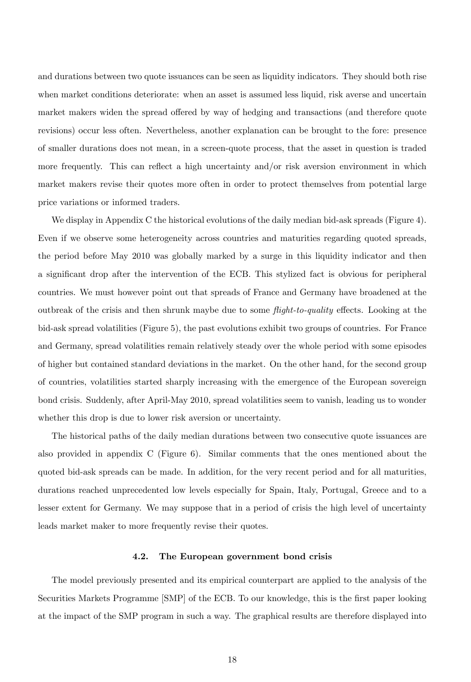and durations between two quote issuances can be seen as liquidity indicators. They should both rise when market conditions deteriorate: when an asset is assumed less liquid, risk averse and uncertain market makers widen the spread offered by way of hedging and transactions (and therefore quote revisions) occur less often. Nevertheless, another explanation can be brought to the fore: presence of smaller durations does not mean, in a screen-quote process, that the asset in question is traded more frequently. This can reflect a high uncertainty and/or risk aversion environment in which market makers revise their quotes more often in order to protect themselves from potential large price variations or informed traders.

We display in Appendix C the historical evolutions of the daily median bid-ask spreads (Figure 4). Even if we observe some heterogeneity across countries and maturities regarding quoted spreads, the period before May 2010 was globally marked by a surge in this liquidity indicator and then a significant drop after the intervention of the ECB. This stylized fact is obvious for peripheral countries. We must however point out that spreads of France and Germany have broadened at the outbreak of the crisis and then shrunk maybe due to some  $flight-to-quality$  effects. Looking at the bid-ask spread volatilities (Figure 5), the past evolutions exhibit two groups of countries. For France and Germany, spread volatilities remain relatively steady over the whole period with some episodes of higher but contained standard deviations in the market. On the other hand, for the second group of countries, volatilities started sharply increasing with the emergence of the European sovereign bond crisis. Suddenly, after April-May 2010, spread volatilities seem to vanish, leading us to wonder whether this drop is due to lower risk aversion or uncertainty.

The historical paths of the daily median durations between two consecutive quote issuances are also provided in appendix C (Figure 6). Similar comments that the ones mentioned about the quoted bid-ask spreads can be made. In addition, for the very recent period and for all maturities, durations reached unprecedented low levels especially for Spain, Italy, Portugal, Greece and to a lesser extent for Germany. We may suppose that in a period of crisis the high level of uncertainty leads market maker to more frequently revise their quotes.

#### 4.2. The European government bond crisis

The model previously presented and its empirical counterpart are applied to the analysis of the Securities Markets Programme [SMP] of the ECB. To our knowledge, this is the first paper looking at the impact of the SMP program in such a way. The graphical results are therefore displayed into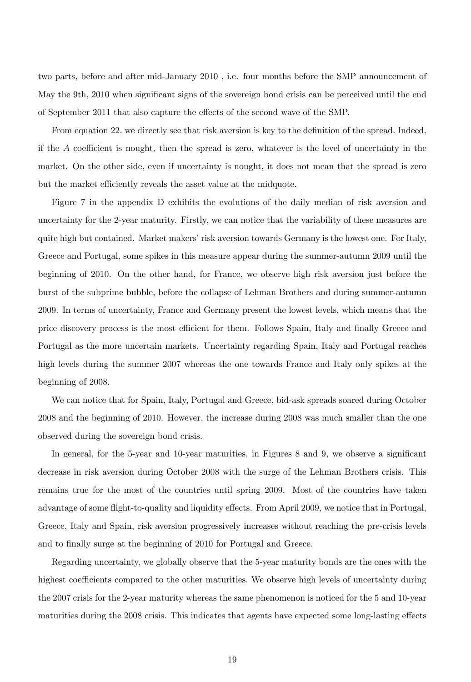two parts, before and after mid-January 2010 , i.e. four months before the SMP announcement of May the 9th, 2010 when significant signs of the sovereign bond crisis can be perceived until the end of September 2011 that also capture the effects of the second wave of the SMP.

From equation 22, we directly see that risk aversion is key to the definition of the spread. Indeed, if the  $A$  coefficient is nought, then the spread is zero, whatever is the level of uncertainty in the market. On the other side, even if uncertainty is nought, it does not mean that the spread is zero but the market efficiently reveals the asset value at the midquote.

Figure 7 in the appendix D exhibits the evolutions of the daily median of risk aversion and uncertainty for the 2-year maturity. Firstly, we can notice that the variability of these measures are quite high but contained. Market makers' risk aversion towards Germany is the lowest one. For Italy, Greece and Portugal, some spikes in this measure appear during the summer-autumn 2009 until the beginning of 2010. On the other hand, for France, we observe high risk aversion just before the burst of the subprime bubble, before the collapse of Lehman Brothers and during summer-autumn 2009. In terms of uncertainty, France and Germany present the lowest levels, which means that the price discovery process is the most efficient for them. Follows Spain, Italy and finally Greece and Portugal as the more uncertain markets. Uncertainty regarding Spain, Italy and Portugal reaches high levels during the summer 2007 whereas the one towards France and Italy only spikes at the beginning of 2008.

We can notice that for Spain, Italy, Portugal and Greece, bid-ask spreads soared during October 2008 and the beginning of 2010. However, the increase during 2008 was much smaller than the one observed during the sovereign bond crisis.

In general, for the 5-year and 10-year maturities, in Figures  $8$  and  $9$ , we observe a significant decrease in risk aversion during October 2008 with the surge of the Lehman Brothers crisis. This remains true for the most of the countries until spring 2009. Most of the countries have taken advantage of some flight-to-quality and liquidity effects. From April 2009, we notice that in Portugal, Greece, Italy and Spain, risk aversion progressively increases without reaching the pre-crisis levels and to finally surge at the beginning of 2010 for Portugal and Greece.

Regarding uncertainty, we globally observe that the 5-year maturity bonds are the ones with the highest coefficients compared to the other maturities. We observe high levels of uncertainty during the 2007 crisis for the 2-year maturity whereas the same phenomenon is noticed for the 5 and 10-year maturities during the 2008 crisis. This indicates that agents have expected some long-lasting effects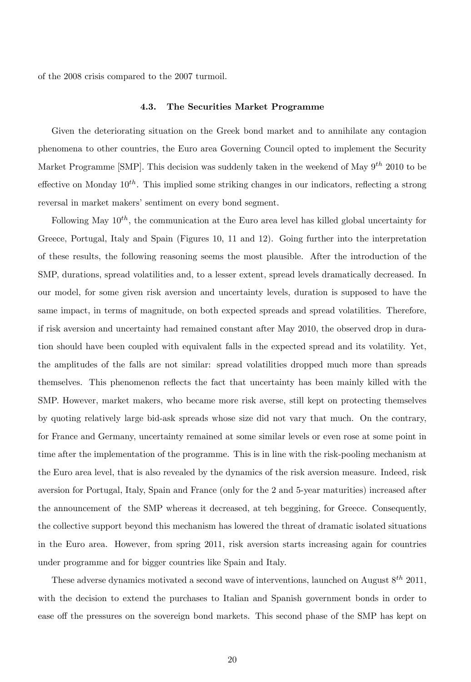of the 2008 crisis compared to the 2007 turmoil.

#### 4.3. The Securities Market Programme

Given the deteriorating situation on the Greek bond market and to annihilate any contagion phenomena to other countries, the Euro area Governing Council opted to implement the Security Market Programme [SMP]. This decision was suddenly taken in the weekend of May  $9^{th}$  2010 to be effective on Monday  $10^{th}$ . This implied some striking changes in our indicators, reflecting a strong reversal in market makers' sentiment on every bond segment.

Following May  $10^{th}$ , the communication at the Euro area level has killed global uncertainty for Greece, Portugal, Italy and Spain (Figures 10, 11 and 12). Going further into the interpretation of these results, the following reasoning seems the most plausible. After the introduction of the SMP, durations, spread volatilities and, to a lesser extent, spread levels dramatically decreased. In our model, for some given risk aversion and uncertainty levels, duration is supposed to have the same impact, in terms of magnitude, on both expected spreads and spread volatilities. Therefore, if risk aversion and uncertainty had remained constant after May 2010, the observed drop in duration should have been coupled with equivalent falls in the expected spread and its volatility. Yet, the amplitudes of the falls are not similar: spread volatilities dropped much more than spreads themselves. This phenomenon reflects the fact that uncertainty has been mainly killed with the SMP. However, market makers, who became more risk averse, still kept on protecting themselves by quoting relatively large bid-ask spreads whose size did not vary that much. On the contrary, for France and Germany, uncertainty remained at some similar levels or even rose at some point in time after the implementation of the programme. This is in line with the risk-pooling mechanism at the Euro area level, that is also revealed by the dynamics of the risk aversion measure. Indeed, risk aversion for Portugal, Italy, Spain and France (only for the 2 and 5-year maturities) increased after the announcement of the SMP whereas it decreased, at teh beggining, for Greece. Consequently, the collective support beyond this mechanism has lowered the threat of dramatic isolated situations in the Euro area. However, from spring 2011, risk aversion starts increasing again for countries under programme and for bigger countries like Spain and Italy.

These adverse dynamics motivated a second wave of interventions, launched on August  $8^{th}$  2011, with the decision to extend the purchases to Italian and Spanish government bonds in order to ease off the pressures on the sovereign bond markets. This second phase of the SMP has kept on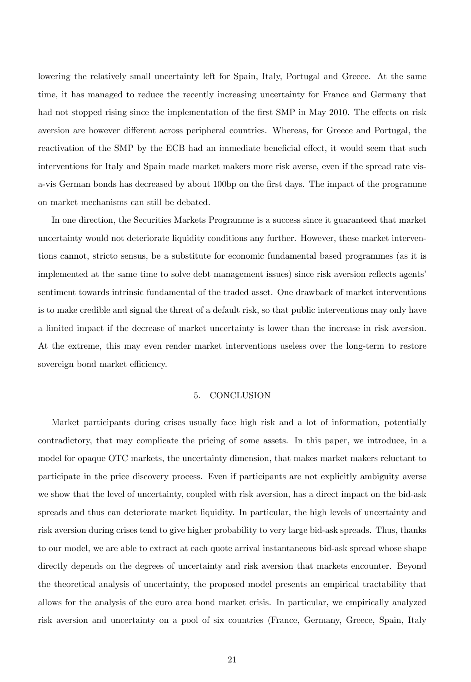lowering the relatively small uncertainty left for Spain, Italy, Portugal and Greece. At the same time, it has managed to reduce the recently increasing uncertainty for France and Germany that had not stopped rising since the implementation of the first SMP in May 2010. The effects on risk aversion are however different across peripheral countries. Whereas, for Greece and Portugal, the reactivation of the SMP by the ECB had an immediate beneficial effect, it would seem that such interventions for Italy and Spain made market makers more risk averse, even if the spread rate visa-vis German bonds has decreased by about 100bp on the Örst days. The impact of the programme on market mechanisms can still be debated.

In one direction, the Securities Markets Programme is a success since it guaranteed that market uncertainty would not deteriorate liquidity conditions any further. However, these market interventions cannot, stricto sensus, be a substitute for economic fundamental based programmes (as it is implemented at the same time to solve debt management issues) since risk aversion reflects agents sentiment towards intrinsic fundamental of the traded asset. One drawback of market interventions is to make credible and signal the threat of a default risk, so that public interventions may only have a limited impact if the decrease of market uncertainty is lower than the increase in risk aversion. At the extreme, this may even render market interventions useless over the long-term to restore sovereign bond market efficiency.

#### 5. CONCLUSION

Market participants during crises usually face high risk and a lot of information, potentially contradictory, that may complicate the pricing of some assets. In this paper, we introduce, in a model for opaque OTC markets, the uncertainty dimension, that makes market makers reluctant to participate in the price discovery process. Even if participants are not explicitly ambiguity averse we show that the level of uncertainty, coupled with risk aversion, has a direct impact on the bid-ask spreads and thus can deteriorate market liquidity. In particular, the high levels of uncertainty and risk aversion during crises tend to give higher probability to very large bid-ask spreads. Thus, thanks to our model, we are able to extract at each quote arrival instantaneous bid-ask spread whose shape directly depends on the degrees of uncertainty and risk aversion that markets encounter. Beyond the theoretical analysis of uncertainty, the proposed model presents an empirical tractability that allows for the analysis of the euro area bond market crisis. In particular, we empirically analyzed risk aversion and uncertainty on a pool of six countries (France, Germany, Greece, Spain, Italy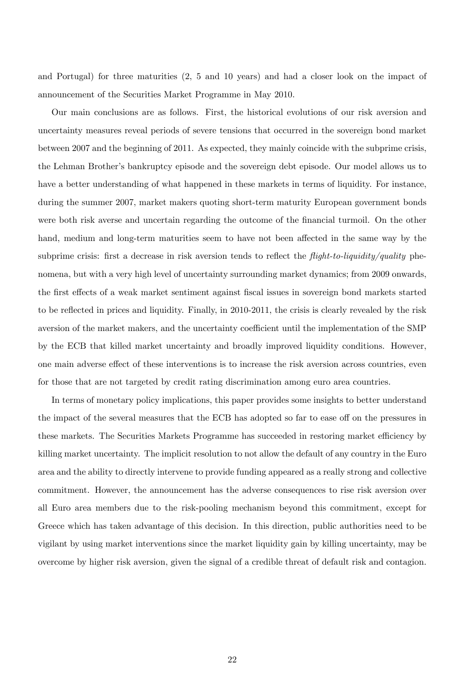and Portugal) for three maturities (2, 5 and 10 years) and had a closer look on the impact of announcement of the Securities Market Programme in May 2010.

Our main conclusions are as follows. First, the historical evolutions of our risk aversion and uncertainty measures reveal periods of severe tensions that occurred in the sovereign bond market between 2007 and the beginning of 2011. As expected, they mainly coincide with the subprime crisis, the Lehman Brotherís bankruptcy episode and the sovereign debt episode. Our model allows us to have a better understanding of what happened in these markets in terms of liquidity. For instance, during the summer 2007, market makers quoting short-term maturity European government bonds were both risk averse and uncertain regarding the outcome of the financial turmoil. On the other hand, medium and long-term maturities seem to have not been affected in the same way by the subprime crisis: first a decrease in risk aversion tends to reflect the  $fliqht-to-liquidity/quality$  phenomena, but with a very high level of uncertainty surrounding market dynamics; from 2009 onwards, the first effects of a weak market sentiment against fiscal issues in sovereign bond markets started to be reflected in prices and liquidity. Finally, in 2010-2011, the crisis is clearly revealed by the risk aversion of the market makers, and the uncertainty coefficient until the implementation of the SMP by the ECB that killed market uncertainty and broadly improved liquidity conditions. However, one main adverse effect of these interventions is to increase the risk aversion across countries, even for those that are not targeted by credit rating discrimination among euro area countries.

In terms of monetary policy implications, this paper provides some insights to better understand the impact of the several measures that the ECB has adopted so far to ease off on the pressures in these markets. The Securities Markets Programme has succeeded in restoring market efficiency by killing market uncertainty. The implicit resolution to not allow the default of any country in the Euro area and the ability to directly intervene to provide funding appeared as a really strong and collective commitment. However, the announcement has the adverse consequences to rise risk aversion over all Euro area members due to the risk-pooling mechanism beyond this commitment, except for Greece which has taken advantage of this decision. In this direction, public authorities need to be vigilant by using market interventions since the market liquidity gain by killing uncertainty, may be overcome by higher risk aversion, given the signal of a credible threat of default risk and contagion.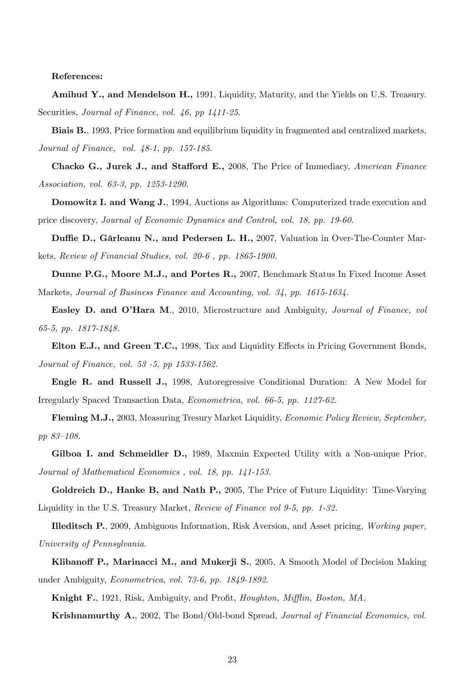#### References:

Amihud Y., and Mendelson H., 1991, Liquidity, Maturity, and the Yields on U.S. Treasury. Securities, Journal of Finance, vol. 46, pp 1411-25.

Biais B., 1993, Price formation and equilibrium liquidity in fragmented and centralized markets, Journal of Finance, vol. 48-1, pp. 157-185.

Chacko G., Jurek J., and Stafford E., 2008, The Price of Immediacy, American Finance Association, vol. 63-3, pp. 1253-1290.

Domowitz I. and Wang J., 1994, Auctions as Algorithms: Computerized trade execution and price discovery, Journal of Economic Dynamics and Control, vol. 18, pp. 19-60.

Duffie D., Gârleanu N., and Pedersen L. H., 2007, Valuation in Over-The-Counter Markets, Review of Financial Studies, vol. 20-6 , pp. 1865-1900.

Dunne P.G., Moore M.J., and Portes R., 2007, Benchmark Status In Fixed Income Asset Markets, Journal of Business Finance and Accounting, vol. 34, pp. 1615-1634.

Easley D. and O'Hara M., 2010, Microstructure and Ambiguity, Journal of Finance, vol 65-5, pp. 1817-1848.

Elton E.J., and Green T.C., 1998, Tax and Liquidity Effects in Pricing Government Bonds, Journal of Finance, vol. 53 -5, pp 1533-1562.

Engle R. and Russell J., 1998, Autoregressive Conditional Duration: A New Model for Irregularly Spaced Transaction Data, Econometrica, vol. 66-5, pp. 1127-62.

Fleming M.J., 2003, Measuring Tresury Market Liquidity, *Economic Policy Review, September,* pp 83-108.

Gilboa I. and Schmeidler D., 1989, Maxmin Expected Utility with a Non-unique Prior, Journal of Mathematical Economics , vol. 18, pp. 141-153.

Goldreich D., Hanke B, and Nath P., 2005, The Price of Future Liquidity: Time-Varying Liquidity in the U.S. Treasury Market, Review of Finance vol 9-5, pp. 1-32.

Illeditsch P., 2009, Ambiguous Information, Risk Aversion, and Asset pricing, Working paper, University of Pennsylvania.

Klibanoff P., Marinacci M., and Mukerji S., 2005, A Smooth Model of Decision Making under Ambiguity, Econometrica, vol. 73-6, pp. 1849-1892.

Knight F., 1921, Risk, Ambiguity, and Profit, *Houghton, Mifflin, Boston, MA.* 

Krishnamurthy A., 2002, The Bond/Old-bond Spread, *Journal of Financial Economics*, vol.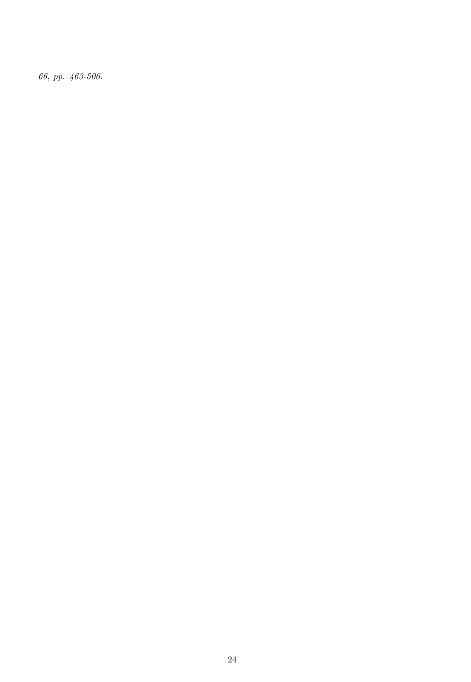66, pp. 463-506.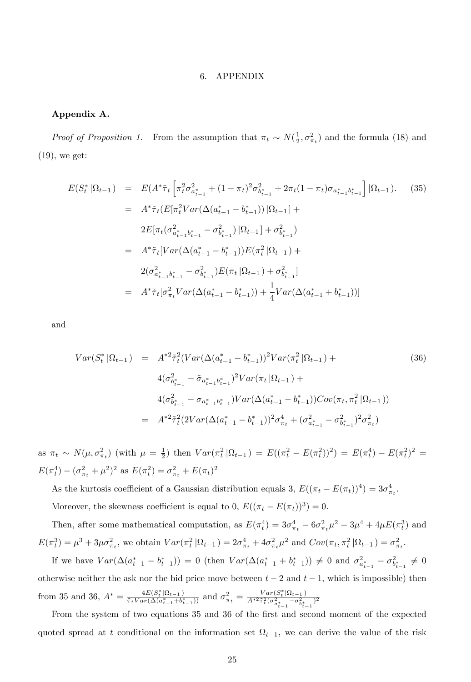#### 6. APPENDIX

#### Appendix A.

*Proof of Proposition 1.* From the assumption that  $\pi_t \sim N(\frac{1}{2}, \sigma_{\pi_t}^2)$  and the formula (18) and (19), we get:

$$
E(S_t^* | \Omega_{t-1}) = E(A^* \tilde{\tau}_t \left[ \pi_t^2 \sigma_{a_{t-1}^*}^2 + (1 - \pi_t)^2 \sigma_{b_{t-1}^*}^2 + 2\pi_t (1 - \pi_t) \sigma_{a_{t-1}^* b_{t-1}^*} \right] | \Omega_{t-1}). \tag{35}
$$
  
\n
$$
= A^* \tilde{\tau}_t (E[\pi_t^2 Var(\Delta(a_{t-1}^* - b_{t-1}^*)) | \Omega_{t-1}] +
$$
  
\n
$$
2E[\pi_t (\sigma_{a_{t-1}^* b_{t-1}^*}^2 - \sigma_{b_{t-1}^*}^2) | \Omega_{t-1}] + \sigma_{b_{t-1}^*}^2)
$$
  
\n
$$
= A^* \tilde{\tau}_t [Var(\Delta(a_{t-1}^* - b_{t-1}^*)) E(\pi_t^2 | \Omega_{t-1}) +
$$
  
\n
$$
2(\sigma_{a_{t-1}^* b_{t-1}^*}^2 - \sigma_{b_{t-1}^*}^2) E(\pi_t | \Omega_{t-1}) + \sigma_{b_{t-1}^*}^2]
$$
  
\n
$$
= A^* \tilde{\tau}_t [\sigma_{\pi_t}^2 Var(\Delta(a_{t-1}^* - b_{t-1}^*)) + \frac{1}{4} Var(\Delta(a_{t-1}^* + b_{t-1}^*))]
$$

and

$$
Var(S_t^* | \Omega_{t-1}) = A^{*2} \tilde{\tau}_t^2 (Var(\Delta(a_{t-1}^* - b_{t-1}^*))^2 Var(\pi_t^2 | \Omega_{t-1}) +
$$
  
\n
$$
4(\sigma_{b_{t-1}^*}^2 - \tilde{\sigma}_{a_{t-1}^* b_{t-1}^*})^2 Var(\pi_t | \Omega_{t-1}) +
$$
  
\n
$$
4(\sigma_{b_{t-1}^*}^2 - \sigma_{a_{t-1}^* b_{t-1}^*}) Var(\Delta(a_{t-1}^* - b_{t-1}^*)) Cov(\pi_t, \pi_t^2 | \Omega_{t-1}))
$$
  
\n
$$
= A^{*2} \tilde{\tau}_t^2 (2Var(\Delta(a_{t-1}^* - b_{t-1}^*))^2 \sigma_{\pi_t}^4 + (\sigma_{a_{t-1}^*}^2 - \sigma_{b_{t-1}^*}^2)^2 \sigma_{\pi_t}^2)
$$
\n(36)

as  $\pi_t \sim N(\mu, \sigma_{\pi_t}^2)$  (with  $\mu = \frac{1}{2}$ ) then  $Var(\pi_t^2 | \Omega_{t-1}) = E((\pi_t^2 - E(\pi_t^2))^2) = E(\pi_t^4) - E(\pi_t^2)^2 =$  $E(\pi_t^4) - (\sigma_{\pi_t}^2 + \mu^2)^2$  as  $E(\pi_t^2) = \sigma_{\pi_t}^2 + E(\pi_t)^2$ 

As the kurtosis coefficient of a Gaussian distribution equals 3,  $E((\pi_t - E(\pi_t))^4) = 3\sigma_{\pi_t}^4$ . Moreover, the skewness coefficient is equal to 0,  $E((\pi_t - E(\pi_t))^3) = 0$ .

Then, after some mathematical computation, as  $E(\pi_t^4) = 3\sigma_{\pi_t}^4 - 6\sigma_{\pi_t}^2\mu^2 - 3\mu^4 + 4\mu E(\pi_t^3)$  and  $E(\pi_t^3) = \mu^3 + 3\mu\sigma_{\pi_t}^2$ , we obtain  $Var(\pi_t^2 | \Omega_{t-1}) = 2\sigma_{\pi_t}^4 + 4\sigma_{\pi_t}^2\mu^2$  and  $Cov(\pi_t, \pi_t^2 | \Omega_{t-1}) = \sigma_{\pi_t}^2$ .

If we have  $Var(\Delta(a_{t-1}^* - b_{t-1}^*)) = 0$  (then  $Var(\Delta(a_{t-1}^* + b_{t-1}^*)) \neq 0$  and  $\sigma_{a_{t-1}^*}^2 - \sigma_{b_{t-1}^*}^2 \neq 0$ otherwise neither the ask nor the bid price move between  $t - 2$  and  $t - 1$ , which is impossible) then from 35 and 36,  $A^* = \frac{4E(S_t^* | \Omega_{t-1})}{\tilde{\tau}_t Var(\Delta(a_{t-1}^* + b_{t-1}^*))}$  and  $\sigma_{\pi_t}^2 = \frac{Var(S_t^* | \Omega_{t-1})}{A^{*2} \tilde{\tau}_t^2 (\sigma_{a_{t-1}^*}^2 - \sigma_{b_{t-1}^*}^2)^2}$ 

From the system of two equations 35 and 36 of the first and second moment of the expected quoted spread at t conditional on the information set  $\Omega_{t-1}$ , we can derive the value of the risk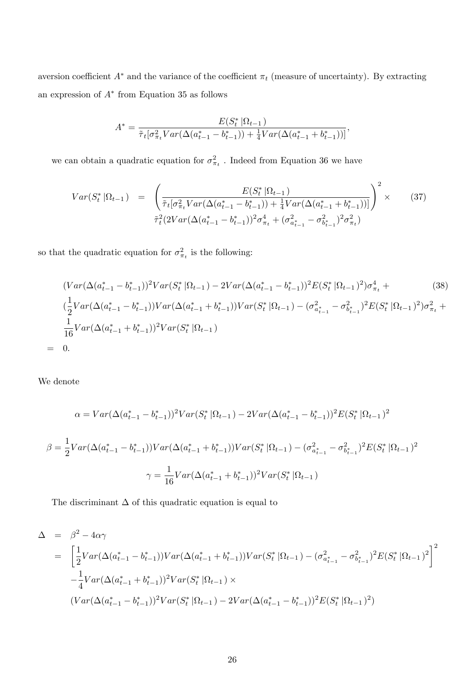aversion coefficient  $A^*$  and the variance of the coefficient  $\pi_t$  (measure of uncertainty). By extracting an expression of  $A^*$  from Equation 35 as follows

$$
A^* = \frac{E(S_t^* | \Omega_{t-1})}{\tilde{\tau}_t [\sigma_{\pi_t}^2 Var(\Delta(a_{t-1}^* - b_{t-1}^*)) + \frac{1}{4}Var(\Delta(a_{t-1}^* + b_{t-1}^*))]},
$$

we can obtain a quadratic equation for  $\sigma_{\pi_t}^2$ . Indeed from Equation 36 we have

$$
Var(S_t^* | \Omega_{t-1}) = \left( \frac{E(S_t^* | \Omega_{t-1})}{\tilde{\tau}_t [\sigma_{\pi_t}^2 Var(\Delta(a_{t-1}^* - b_{t-1}^*)) + \frac{1}{4} Var(\Delta(a_{t-1}^* + b_{t-1}^*))]} \right)^2 \times (37)
$$
  

$$
\tilde{\tau}_t^2 (2Var(\Delta(a_{t-1}^* - b_{t-1}^*))^2 \sigma_{\pi_t}^4 + (\sigma_{a_{t-1}^*}^2 - \sigma_{b_{t-1}^*}^2)^2 \sigma_{\pi_t}^2)
$$

so that the quadratic equation for  $\sigma_{\pi_t}^2$  is the following:

$$
(Var(\Delta(a_{t-1}^* - b_{t-1}^*))^2 Var(S_t^* |\Omega_{t-1}) - 2Var(\Delta(a_{t-1}^* - b_{t-1}^*))^2 E(S_t^* |\Omega_{t-1})^2) \sigma_{\pi_t}^4 + (38)
$$
  

$$
(\frac{1}{2}Var(\Delta(a_{t-1}^* - b_{t-1}^*))Var(\Delta(a_{t-1}^* + b_{t-1}^*))Var(S_t^* |\Omega_{t-1}) - (\sigma_{a_{t-1}^*}^2 - \sigma_{b_{t-1}^*}^2)^2 E(S_t^* |\Omega_{t-1})^2) \sigma_{\pi_t}^2 + (1 + \frac{1}{16}Var(\Delta(a_{t-1}^* + b_{t-1}^*))^2 Var(S_t^* |\Omega_{t-1})
$$
  
0.

We denote

 $=$ 

$$
\alpha = Var(\Delta(a_{t-1}^* - b_{t-1}^*))^2 Var(S_t^* |\Omega_{t-1}) - 2Var(\Delta(a_{t-1}^* - b_{t-1}^*))^2 E(S_t^* |\Omega_{t-1})^2
$$
  

$$
\beta = \frac{1}{2} Var(\Delta(a_{t-1}^* - b_{t-1}^*)) Var(\Delta(a_{t-1}^* + b_{t-1}^*)) Var(S_t^* |\Omega_{t-1}) - (\sigma_{a_{t-1}^*}^2 - \sigma_{b_{t-1}^*}^2)^2 E(S_t^* |\Omega_{t-1})^2
$$
  

$$
\gamma = \frac{1}{16} Var(\Delta(a_{t-1}^* + b_{t-1}^*))^2 Var(S_t^* |\Omega_{t-1})
$$

The discriminant  $\Delta$  of this quadratic equation is equal to

$$
\Delta = \beta^2 - 4\alpha\gamma
$$
\n
$$
= \left[\frac{1}{2}Var(\Delta(a_{t-1}^* - b_{t-1}^*))Var(\Delta(a_{t-1}^* + b_{t-1}^*))Var(S_t^*|\Omega_{t-1}) - (\sigma_{a_{t-1}}^2 - \sigma_{b_{t-1}}^2)^2 E(S_t^*|\Omega_{t-1})^2\right]^2
$$
\n
$$
-\frac{1}{4}Var(\Delta(a_{t-1}^* + b_{t-1}^*))^2 Var(S_t^*|\Omega_{t-1}) \times
$$
\n
$$
(Var(\Delta(a_{t-1}^* - b_{t-1}^*))^2 Var(S_t^*|\Omega_{t-1}) - 2Var(\Delta(a_{t-1}^* - b_{t-1}^*))^2 E(S_t^*|\Omega_{t-1})^2)
$$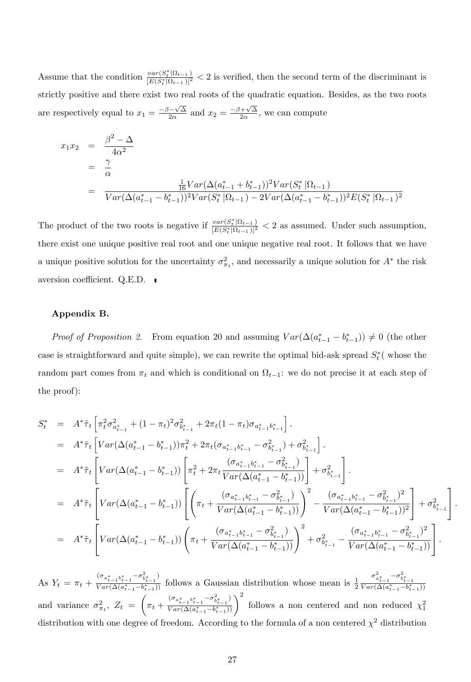Assume that the condition  $\frac{var(S_t^* | \Omega_{t-1})}{[E(S_t^* | \Omega_{t-1})]^2}$  < 2 is verified, then the second term of the discriminant is strictly positive and there exist two real roots of the quadratic equation. Besides, as the two roots are respectively equal to  $x_1 = \frac{-\beta - \sqrt{\Delta}}{2\alpha}$  and  $x_2 = \frac{-\beta + \sqrt{\Delta}}{2\alpha}$ , we can compute

$$
x_1 x_2 = \frac{\beta^2 - \Delta}{4\alpha^2}
$$
  
=  $\frac{\gamma}{\alpha}$   
=  $\frac{\frac{1}{16}Var(\Delta(a_{t-1}^* + b_{t-1}^*))^2 Var(S_t^* | \Omega_{t-1})}{Var(\Delta(a_{t-1}^* - b_{t-1}^*))^2 Var(S_t^* | \Omega_{t-1}) - 2Var(\Delta(a_{t-1}^* - b_{t-1}^*))^2 E(S_t^* | \Omega_{t-1})^2}$ 

The product of the two roots is negative if  $\frac{var(S_t^* | \Omega_{t-1})}{[E(S_t^* | \Omega_{t-1})]^2} < 2$  as assumed. Under such assumption, there exist one unique positive real root and one unique negative real root. It follows that we have a unique positive solution for the uncertainty  $\sigma_{\pi_t}^2$ , and necessarily a unique solution for  $A^*$  the risk aversion coefficient.  $Q.E.D.$ 

#### Appendix B.

*Proof of Proposition 2.* From equation 20 and assuming  $Var(\Delta(a_{t-1}^* - b_{t-1}^*)) \neq 0$  (the other case is straightforward and quite simple), we can rewrite the optimal bid-ask spread  $S_t^*$  (whose the random part comes from  $\pi_t$  and which is conditional on  $\Omega_{t-1}$ : we do not precise it at each step of the proof):

$$
S_{t}^{*} = A^{*}\tilde{\tau}_{t} \left[ \pi_{t}^{2}\sigma_{a_{t-1}^{*}}^{2} + (1 - \pi_{t})^{2}\sigma_{b_{t-1}^{*}}^{2} + 2\pi_{t}(1 - \pi_{t})\sigma_{a_{t-1}^{*}b_{t-1}^{*}} \right].
$$
  
\n
$$
= A^{*}\tilde{\tau}_{t} \left[ Var(\Delta(a_{t-1}^{*} - b_{t-1}^{*}))\pi_{t}^{2} + 2\pi_{t}(\sigma_{a_{t-1}^{*}b_{t-1}^{*}} - \sigma_{b_{t-1}^{*}}^{2}) + \sigma_{b_{t-1}^{*}}^{2} \right].
$$
  
\n
$$
= A^{*}\tilde{\tau}_{t} \left[ Var(\Delta(a_{t-1}^{*} - b_{t-1}^{*})) \left[ \pi_{t}^{2} + 2\pi_{t} \frac{(\sigma_{a_{t-1}^{*}b_{t-1}^{*}} - \sigma_{b_{t-1}^{*}}^{2})}{Var(\Delta(a_{t-1}^{*} - b_{t-1}^{*}))} \right] + \sigma_{b_{t-1}^{*}}^{2} \right].
$$
  
\n
$$
= A^{*}\tilde{\tau}_{t} \left[ Var(\Delta(a_{t-1}^{*} - b_{t-1}^{*})) \left[ \left( \pi_{t} + \frac{(\sigma_{a_{t-1}^{*}b_{t-1}^{*}} - \sigma_{b_{t-1}^{*}}^{2})}{Var(\Delta(a_{t-1}^{*} - b_{t-1}^{*}))} \right)^{2} - \frac{(\sigma_{a_{t-1}^{*}b_{t-1}^{*}} - \sigma_{b_{t-1}^{*}}^{2})^{2}}{Var(\Delta(a_{t-1}^{*} - b_{t-1}^{*}))^{2}} \right] + \sigma_{b_{t-1}^{*}}^{2} \right].
$$
  
\n
$$
= A^{*}\tilde{\tau}_{t} \left[ Var(\Delta(a_{t-1}^{*} - b_{t-1}^{*})) \left( \pi_{t} + \frac{(\sigma_{a_{t-1}^{*}b_{t-1}^{*}} - \sigma_{b_{t-1}^{*}}^{2})}{Var(\Delta(a_{t-1}^{*} - b_{t-1}^{*}))} \right)^{2} + \sigma_{b_{t-1}^{*}}^{2} - \frac{(\sigma_{a
$$

As  $Y_t = \pi_t + \frac{(\sigma_{a_{t-1}^*b_{t-1}^*} - \sigma_{b_{t-1}^*}^2)}{Var(\Delta(a_{t-1}^* - b_{t-1}^*))}$  $\frac{\sqrt{a_{i-1}}a_{i-1}^2 \cdots a_{i-1}}{\sqrt{a_{i-1}}a_{i-1}^2}$  follows a Gaussian distribution whose mean is  $\frac{1}{2}$  $\frac{\sigma^2_{a^*_{t-1}} - \sigma^2_{b^*_{t-1}}}{Var(\Delta(a^*_{t-1} - b^*_{t-1}))}$ and variance  $\sigma_{\pi_t}^2$ ,  $Z_t =$  $\sqrt{2}$  $\pi_t + \frac{(\sigma_{a_{t-1}^*b_{t-1}^*}-\sigma_{b_{t-1}^*}^2)}{Var(\Delta(a_{t-1}^*-b_{t-1}^*))}$  $\frac{(\sigma_{a_{t-1}^*b_{t-1}^*}-\sigma_{b_{t-1}^*}^2)}{Var(\Delta(a_{t-1}^*-b_{t-1}^*) )}\Bigg)^2$  follows a non centered and non reduced  $\chi_1^2$ distribution with one degree of freedom. According to the formula of a non centered  $\chi^2$  distribution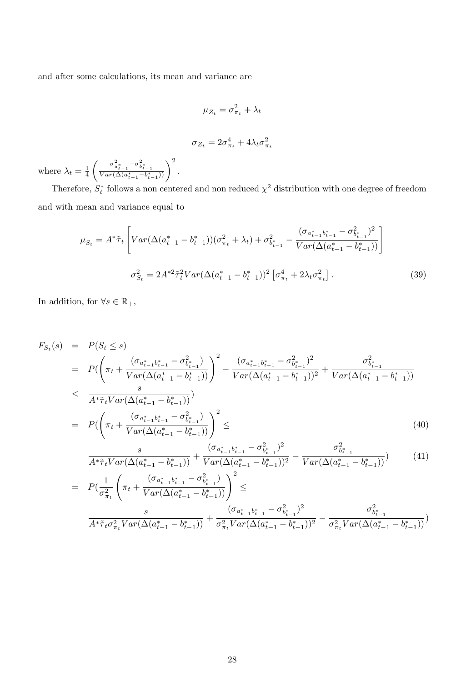and after some calculations, its mean and variance are

$$
\mu_{Z_t} = \sigma_{\pi_t}^2 + \lambda_t
$$

$$
\sigma_{Z_t} = 2\sigma_{\pi_t}^4 + 4\lambda_t \sigma_{\pi_t}^2
$$

where  $\lambda_t = \frac{1}{4}$  $\left(\frac{\sigma^2_{a^*_{t-1}}-\sigma^2_{b^*_{t-1}}}{Var(\Delta(a^*_{t-1}-b^*_{t-1}))}\right)^2.$ 

Therefore,  $S_t^*$  follows a non centered and non reduced  $\chi^2$  distribution with one degree of freedom and with mean and variance equal to

$$
\mu_{S_t} = A^* \tilde{\tau}_t \left[ Var(\Delta(a_{t-1}^* - b_{t-1}^*)) (\sigma_{\pi_t}^2 + \lambda_t) + \sigma_{b_{t-1}}^2 - \frac{(\sigma_{a_{t-1}^* b_{t-1}^*} - \sigma_{b_{t-1}^*}^2)^2}{Var(\Delta(a_{t-1}^* - b_{t-1}^*))} \right]
$$
  

$$
\sigma_{S_t}^2 = 2A^{*2} \tilde{\tau}_t^2 Var(\Delta(a_{t-1}^* - b_{t-1}^*))^2 \left[ \sigma_{\pi_t}^4 + 2\lambda_t \sigma_{\pi_t}^2 \right].
$$
 (39)

In addition, for  $\forall s \in \mathbb{R}_+$ ,

$$
F_{S_t}(s) = P(S_t \le s)
$$
  
\n
$$
= P(\left(\pi_t + \frac{(\sigma_{a_{t-1}^*b_{t-1}^*} - \sigma_{b_{t-1}^*}^2)}{Var(\Delta(a_{t-1}^* - b_{t-1}^*))}\right)^2 - \frac{(\sigma_{a_{t-1}^*b_{t-1}^*} - \sigma_{b_{t-1}^*}^2)^2}{Var(\Delta(a_{t-1}^* - b_{t-1}^*))^2} + \frac{\sigma_{b_{t-1}^*}^2}{Var(\Delta(a_{t-1}^* - b_{t-1}^*))}
$$
  
\n
$$
\leq \frac{s}{A^*\tilde{\tau}_t Var(\Delta(a_{t-1}^* - b_{t-1}^*))}
$$
  
\n
$$
= P(\left(\pi_t + \frac{(\sigma_{a_{t-1}^*b_{t-1}^*} - \sigma_{b_{t-1}^*}^2)}{Var(\Delta(a_{t-1}^* - b_{t-1}^*))}\right)^2 \leq
$$
  
\n
$$
\frac{s}{A^*\tilde{\tau}_t Var(\Delta(a_{t-1}^* - b_{t-1}^*))} + \frac{(\sigma_{a_{t-1}^*b_{t-1}^*} - \sigma_{b_{t-1}^*}^2)^2}{Var(\Delta(a_{t-1}^* - b_{t-1}^*))^2} - \frac{\sigma_{b_{t-1}^*}^2}{Var(\Delta(a_{t-1}^* - b_{t-1}^*))}
$$
  
\n
$$
= P(\frac{1}{\sigma_{\pi_t}^2} \left(\pi_t + \frac{(\sigma_{a_{t-1}^*b_{t-1}^*} - \sigma_{b_{t-1}^*}^2)}{Var(\Delta(a_{t-1}^* - b_{t-1}^*))}\right)^2 \leq
$$
  
\n(41)

$$
\frac{s}{A^{*} \tilde{\tau}_{t}\sigma_{\pi_{t}}^{2}Var(\Delta(a_{t-1}^{*}-b_{t-1}^{*}))}+\frac{(\sigma_{a_{t-1}^{*}b_{t-1}^{*}}-\sigma_{b_{t-1}^{*}}^{2})^{2}}{\sigma_{\pi_{t}}^{2}Var(\Delta(a_{t-1}^{*}-b_{t-1}^{*}))^{2}}-\frac{\sigma_{b_{t-1}^{*}}^{2}}{\sigma_{\pi_{t}}^{2}Var(\Delta(a_{t-1}^{*}-b_{t-1}^{*}))})
$$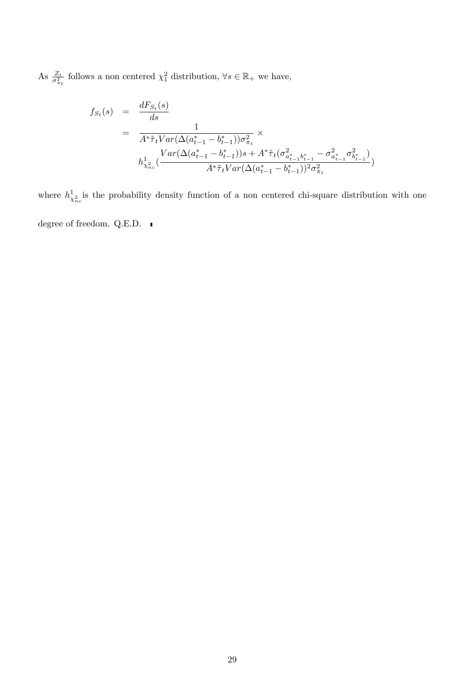As  $\frac{Z_t}{\sigma_{\pi_t}^2}$  follows a non centered  $\chi_1^2$  distribution,  $\forall s \in \mathbb{R}_+$  we have,

$$
f_{S_t}(s) = \frac{dF_{S_t}(s)}{ds}
$$
  
= 
$$
\frac{1}{A^*\tilde{\tau}_t Var(\Delta(a_{t-1}^* - b_{t-1}^*))\sigma_{\pi_t}^2} \times
$$
  

$$
h_{\chi_{nc}^2}^1(\frac{Var(\Delta(a_{t-1}^* - b_{t-1}^*))s + A^*\tilde{\tau}_t(\sigma_{a_{t-1}^*b_{t-1}^*}^2 - \sigma_{a_{t-1}^*}^2\sigma_{b_{t-1}^*}^2)}{A^*\tilde{\tau}_t Var(\Delta(a_{t-1}^* - b_{t-1}^*))^2\sigma_{\pi_t}^2})
$$

where  $h^1_{\chi^2_{nc}}$  is the probability density function of a non centered chi-square distribution with one

degree of freedom. Q.E.D.  $\quad \blacksquare$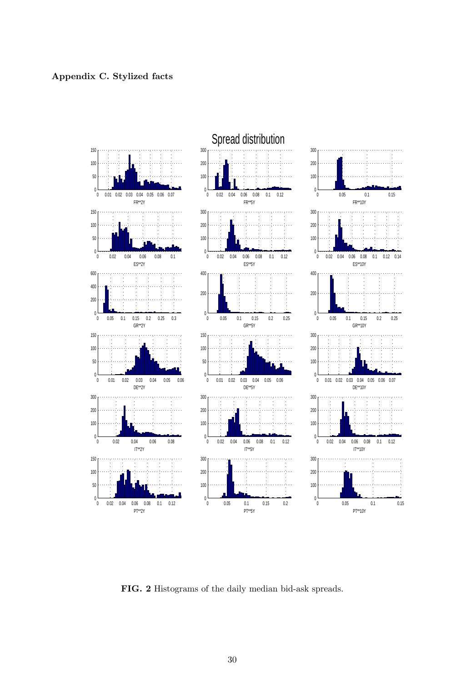



FIG. 2 Histograms of the daily median bid-ask spreads.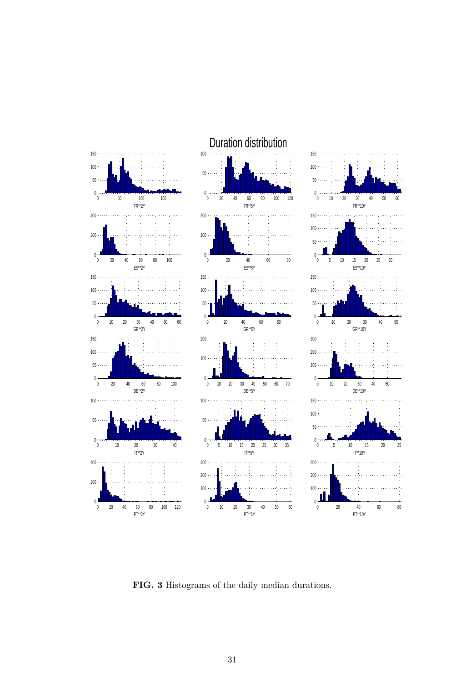

FIG. 3 Histograms of the daily median durations.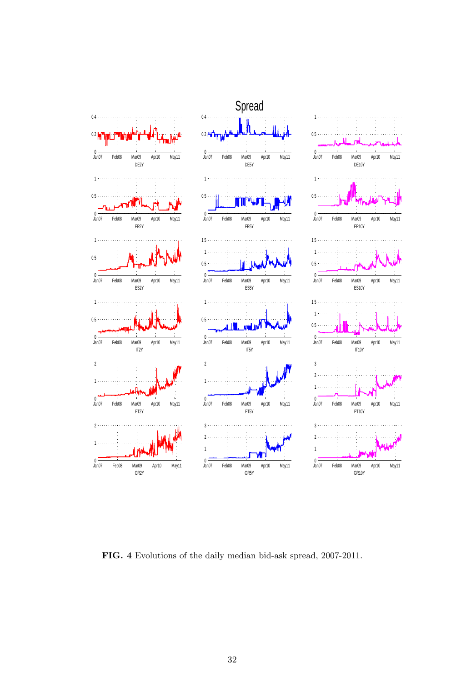

FIG. 4 Evolutions of the daily median bid-ask spread, 2007-2011.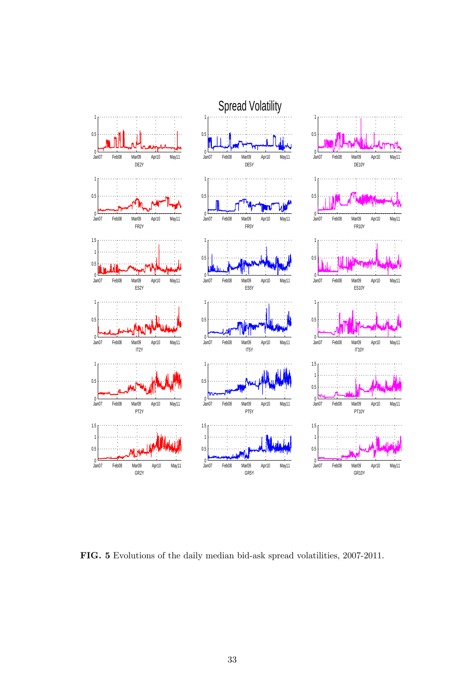

FIG. 5 Evolutions of the daily median bid-ask spread volatilities, 2007-2011.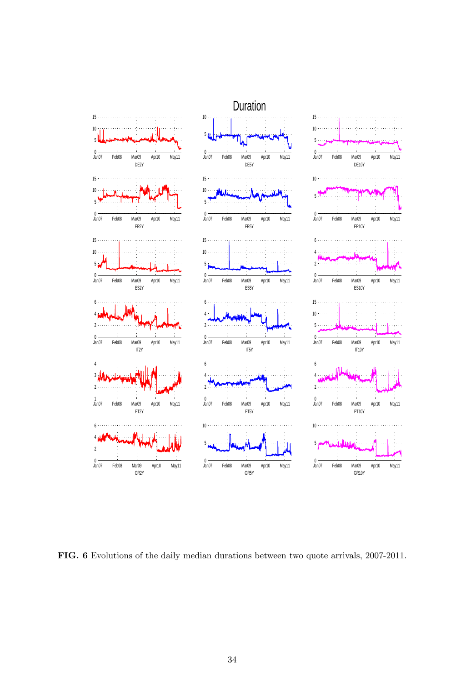

FIG. 6 Evolutions of the daily median durations between two quote arrivals, 2007-2011.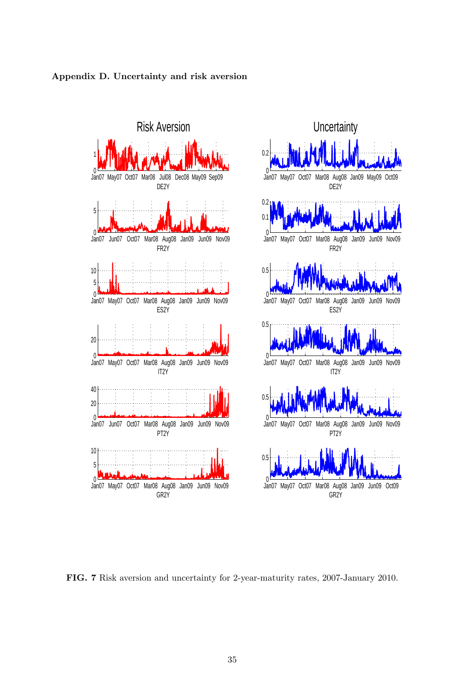#### Appendix D. Uncertainty and risk aversion





FIG. 7 Risk aversion and uncertainty for 2-year-maturity rates, 2007-January 2010.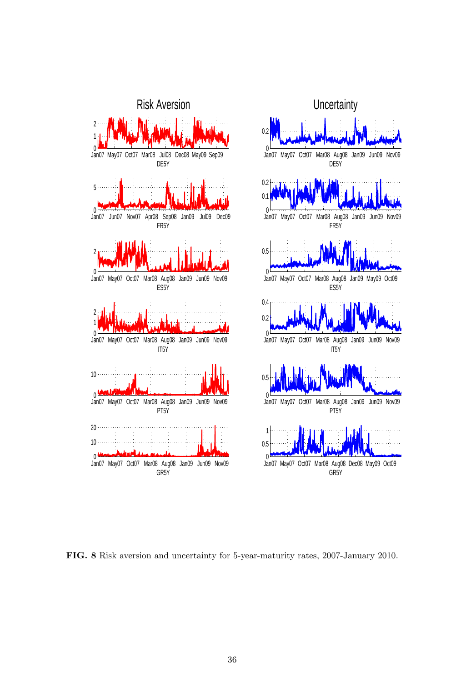

FIG. 8 Risk aversion and uncertainty for 5-year-maturity rates, 2007-January 2010.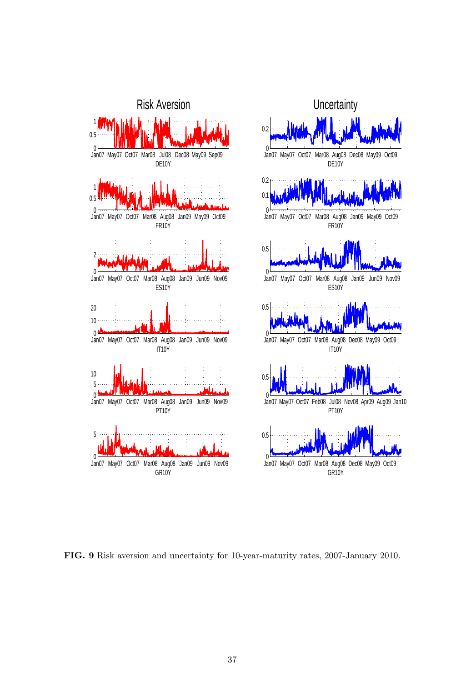

FIG. 9 Risk aversion and uncertainty for 10-year-maturity rates, 2007-January 2010.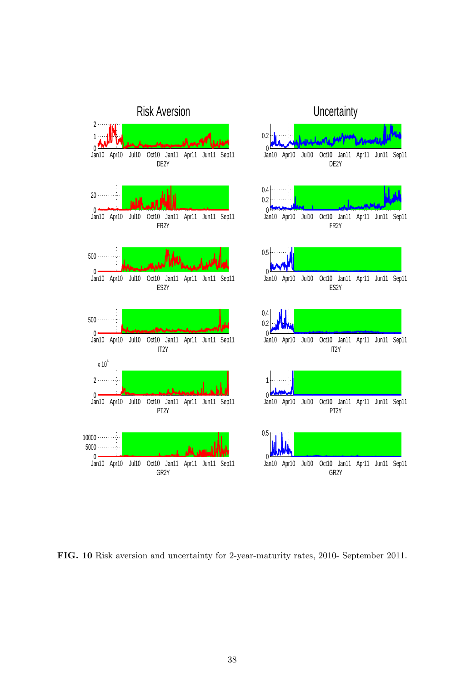

FIG. 10 Risk aversion and uncertainty for 2-year-maturity rates, 2010- September 2011.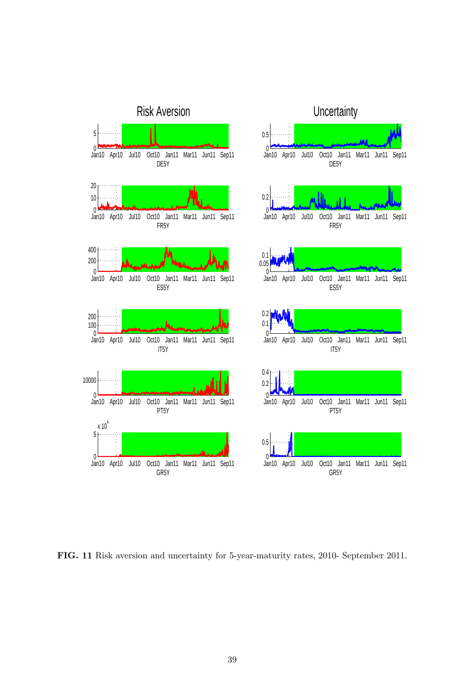

FIG. 11 Risk aversion and uncertainty for 5-year-maturity rates, 2010- September 2011.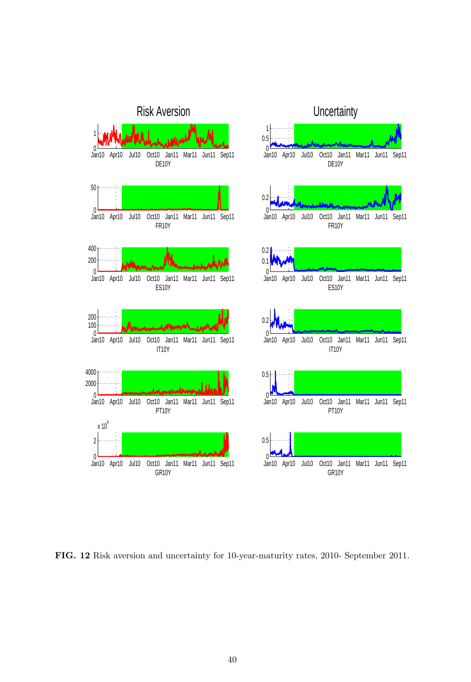

FIG. 12 Risk aversion and uncertainty for 10-year-maturity rates, 2010- September 2011.